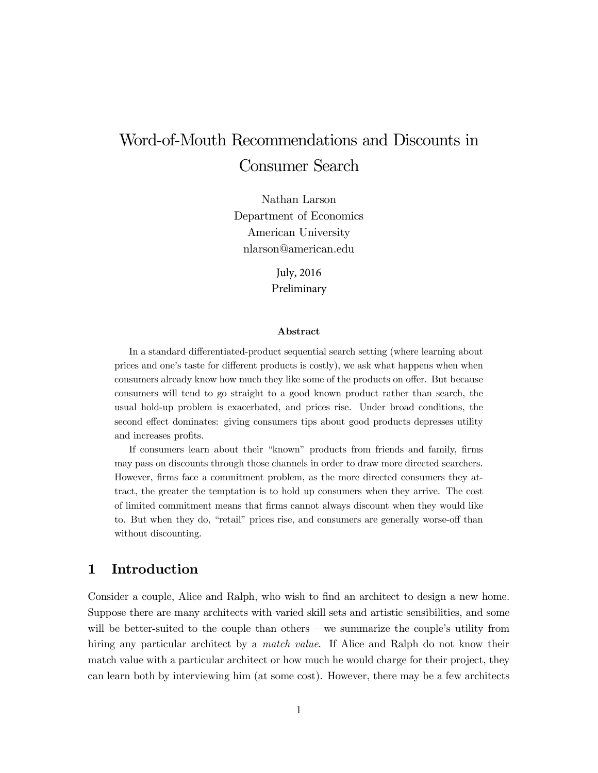# Word-of-Mouth Recommendations and Discounts in Consumer Search

Nathan Larson Department of Economics American University nlarson@american.edu

> July, 2016 Preliminary

### Abstract

In a standard differentiated-product sequential search setting (where learning about prices and one's taste for different products is costly), we ask what happens when when consumers already know how much they like some of the products on offer. But because consumers will tend to go straight to a good known product rather than search, the usual hold-up problem is exacerbated, and prices rise. Under broad conditions, the second effect dominates: giving consumers tips about good products depresses utility and increases profits.

If consumers learn about their "known" products from friends and family, firms may pass on discounts through those channels in order to draw more directed searchers. However, firms face a commitment problem, as the more directed consumers they attract, the greater the temptation is to hold up consumers when they arrive. The cost of limited commitment means that firms cannot always discount when they would like to. But when they do, "retail" prices rise, and consumers are generally worse-off than without discounting.

# 1 Introduction

Consider a couple, Alice and Ralph, who wish to find an architect to design a new home. Suppose there are many architects with varied skill sets and artistic sensibilities, and some will be better-suited to the couple than others  $-$  we summarize the couple's utility from hiring any particular architect by a *match value*. If Alice and Ralph do not know their match value with a particular architect or how much he would charge for their project, they can learn both by interviewing him (at some cost). However, there may be a few architects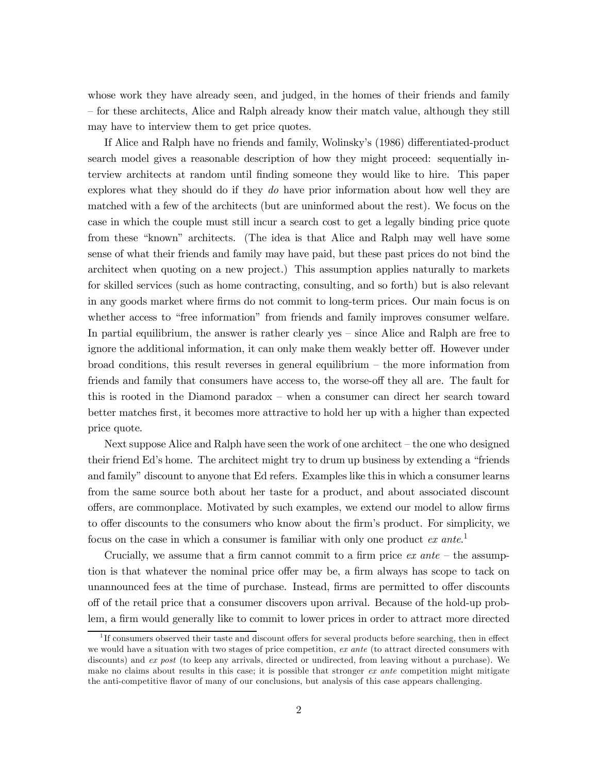whose work they have already seen, and judged, in the homes of their friends and family – for these architects, Alice and Ralph already know their match value, although they still may have to interview them to get price quotes.

If Alice and Ralph have no friends and family, Wolinsky's (1986) differentiated-product search model gives a reasonable description of how they might proceed: sequentially interview architects at random until finding someone they would like to hire. This paper explores what they should do if they do have prior information about how well they are matched with a few of the architects (but are uninformed about the rest). We focus on the case in which the couple must still incur a search cost to get a legally binding price quote from these "known" architects. (The idea is that Alice and Ralph may well have some sense of what their friends and family may have paid, but these past prices do not bind the architect when quoting on a new project.) This assumption applies naturally to markets for skilled services (such as home contracting, consulting, and so forth) but is also relevant in any goods market where firms do not commit to long-term prices. Our main focus is on whether access to "free information" from friends and family improves consumer welfare. In partial equilibrium, the answer is rather clearly yes – since Alice and Ralph are free to ignore the additional information, it can only make them weakly better off. However under  $broad$  conditions, this result reverses in general equilibrium – the more information from friends and family that consumers have access to, the worse-off they all are. The fault for this is rooted in the Diamond paradox – when a consumer can direct her search toward better matches first, it becomes more attractive to hold her up with a higher than expected price quote.

Next suppose Alice and Ralph have seen the work of one architect – the one who designed their friend Ed's home. The architect might try to drum up business by extending a "friends" and family" discount to anyone that Ed refers. Examples like this in which a consumer learns from the same source both about her taste for a product, and about associated discount offers, are commonplace. Motivated by such examples, we extend our model to allow firms to offer discounts to the consumers who know about the firm's product. For simplicity, we focus on the case in which a consumer is familiar with only one product  $ex$  ante.<sup>1</sup>

Crucially, we assume that a firm cannot commit to a firm price  $ex$  ante – the assumption is that whatever the nominal price offer may be, a firm always has scope to tack on unannounced fees at the time of purchase. Instead, firms are permitted to offer discounts off of the retail price that a consumer discovers upon arrival. Because of the hold-up problem, a firm would generally like to commit to lower prices in order to attract more directed

<sup>&</sup>lt;sup>1</sup>If consumers observed their taste and discount offers for several products before searching, then in effect we would have a situation with two stages of price competition, ex ante (to attract directed consumers with discounts) and ex post (to keep any arrivals, directed or undirected, from leaving without a purchase). We make no claims about results in this case; it is possible that stronger ex ante competition might mitigate the anti-competitive flavor of many of our conclusions, but analysis of this case appears challenging.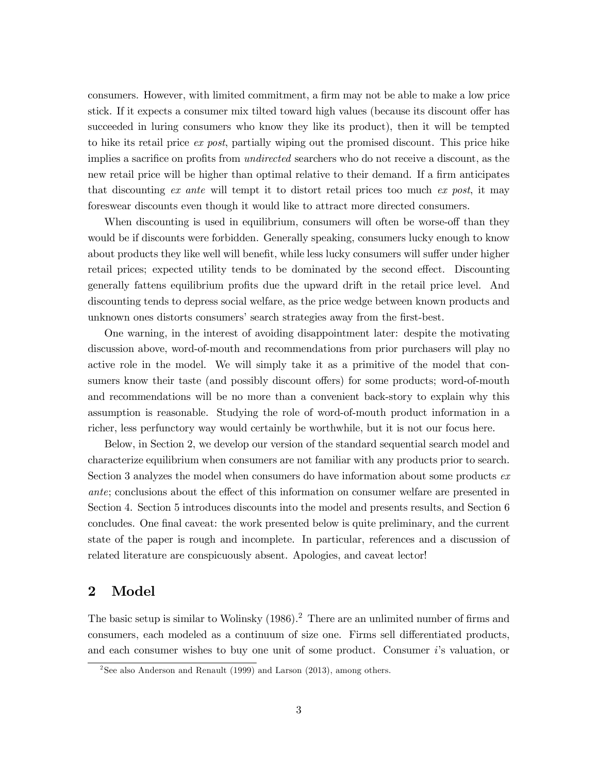consumers. However, with limited commitment, a firm may not be able to make a low price stick. If it expects a consumer mix tilted toward high values (because its discount offer has succeeded in luring consumers who know they like its product), then it will be tempted to hike its retail price ex post, partially wiping out the promised discount. This price hike implies a sacrifice on profits from *undirected* searchers who do not receive a discount, as the new retail price will be higher than optimal relative to their demand. If a firm anticipates that discounting ex ante will tempt it to distort retail prices too much ex post, it may foreswear discounts even though it would like to attract more directed consumers.

When discounting is used in equilibrium, consumers will often be worse-off than they would be if discounts were forbidden. Generally speaking, consumers lucky enough to know about products they like well will benefit, while less lucky consumers will suffer under higher retail prices; expected utility tends to be dominated by the second effect. Discounting generally fattens equilibrium profits due the upward drift in the retail price level. And discounting tends to depress social welfare, as the price wedge between known products and unknown ones distorts consumers' search strategies away from the first-best.

One warning, in the interest of avoiding disappointment later: despite the motivating discussion above, word-of-mouth and recommendations from prior purchasers will play no active role in the model. We will simply take it as a primitive of the model that consumers know their taste (and possibly discount offers) for some products; word-of-mouth and recommendations will be no more than a convenient back-story to explain why this assumption is reasonable. Studying the role of word-of-mouth product information in a richer, less perfunctory way would certainly be worthwhile, but it is not our focus here.

Below, in Section 2, we develop our version of the standard sequential search model and characterize equilibrium when consumers are not familiar with any products prior to search. Section 3 analyzes the model when consumers do have information about some products  $ex$ *ante*; conclusions about the effect of this information on consumer welfare are presented in Section 4. Section 5 introduces discounts into the model and presents results, and Section 6 concludes. One final caveat: the work presented below is quite preliminary, and the current state of the paper is rough and incomplete. In particular, references and a discussion of related literature are conspicuously absent. Apologies, and caveat lector!

#### $\overline{2}$ Model

The basic setup is similar to Wolinsky  $(1986)$ .<sup>2</sup> There are an unlimited number of firms and consumers, each modeled as a continuum of size one. Firms sell differentiated products, and each consumer wishes to buy one unit of some product. Consumer i's valuation, or

<sup>&</sup>lt;sup>2</sup>See also Anderson and Renault (1999) and Larson (2013), among others.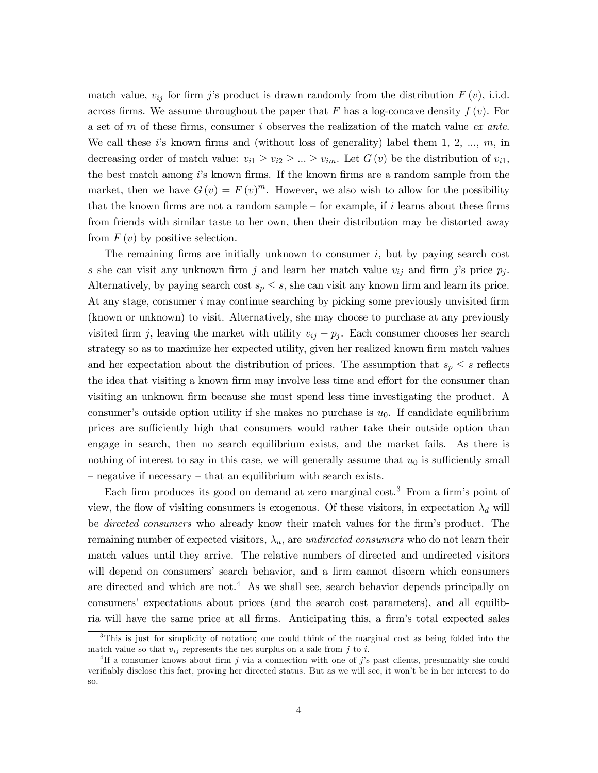match value,  $v_{ij}$  for firm j's product is drawn randomly from the distribution  $F(v)$ , i.i.d. across firms. We assume throughout the paper that F has a log-concave density  $f(v)$ . For a set of m of these firms, consumer i observes the realization of the match value ex ante. We call these i's known firms and (without loss of generality) label them 1, 2, ...,  $m$ , in decreasing order of match value:  $v_{i1} \ge v_{i2} \ge ... \ge v_{im}$ . Let  $G(v)$  be the distribution of  $v_{i1}$ , the best match among i's known firms. If the known firms are a random sample from the market, then we have  $G(v) = F(v)^m$ . However, we also wish to allow for the possibility that the known firms are not a random sample – for example, if i learns about these firms from friends with similar taste to her own, then their distribution may be distorted away from  $F(v)$  by positive selection.

The remaining firms are initially unknown to consumer  $i$ , but by paying search cost s she can visit any unknown firm j and learn her match value  $v_{ij}$  and firm j's price  $p_j$ . Alternatively, by paying search cost  $s_p \leq s$ , she can visit any known firm and learn its price. At any stage, consumer i may continue searching by picking some previously unvisited firm (known or unknown) to visit. Alternatively, she may choose to purchase at any previously visited firm j, leaving the market with utility  $v_{ij} - p_j$ . Each consumer chooses her search strategy so as to maximize her expected utility, given her realized known firm match values and her expectation about the distribution of prices. The assumption that  $s_p \leq s$  reflects the idea that visiting a known firm may involve less time and effort for the consumer than visiting an unknown firm because she must spend less time investigating the product. A consumer's outside option utility if she makes no purchase is  $u_0$ . If candidate equilibrium prices are sufficiently high that consumers would rather take their outside option than engage in search, then no search equilibrium exists, and the market fails. As there is nothing of interest to say in this case, we will generally assume that  $u_0$  is sufficiently small - negative if necessary – that an equilibrium with search exists.

Each firm produces its good on demand at zero marginal cost.<sup>3</sup> From a firm's point of view, the flow of visiting consumers is exogenous. Of these visitors, in expectation  $\lambda_d$  will be *directed consumers* who already know their match values for the firm's product. The remaining number of expected visitors,  $\lambda_u$ , are undirected consumers who do not learn their match values until they arrive. The relative numbers of directed and undirected visitors will depend on consumers' search behavior, and a firm cannot discern which consumers are directed and which are not.<sup>4</sup> As we shall see, search behavior depends principally on consumers' expectations about prices (and the search cost parameters), and all equilibria will have the same price at all firms. Anticipating this, a firm's total expected sales

 ${}^{3}$ This is just for simplicity of notation; one could think of the marginal cost as being folded into the match value so that  $v_{ij}$  represents the net surplus on a sale from j to i.

<sup>&</sup>lt;sup>4</sup>If a consumer knows about firm j via a connection with one of j's past clients, presumably she could verifiably disclose this fact, proving her directed status. But as we will see, it won't be in her interest to do SO.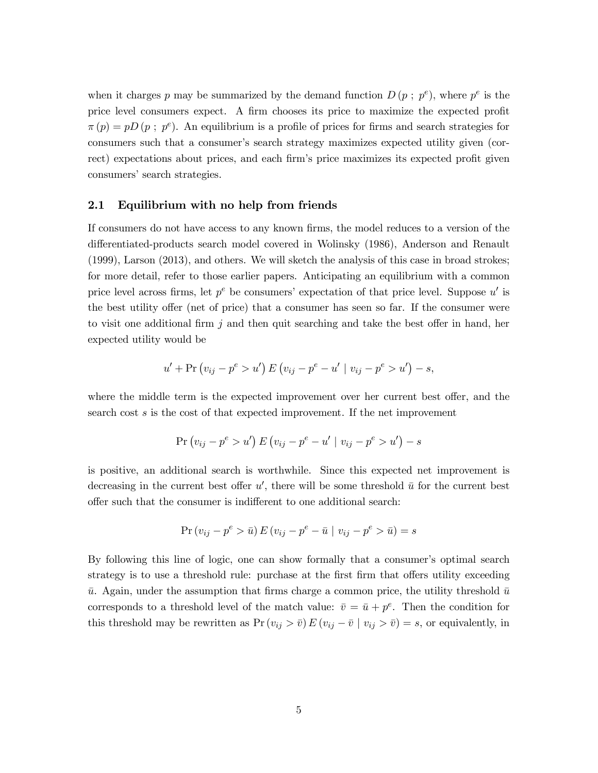when it charges p may be summarized by the demand function  $D(p; p^e)$ , where  $p^e$  is the price level consumers expect. A firm chooses its price to maximize the expected profit  $\pi(p) = pD(p; p^e)$ . An equilibrium is a profile of prices for firms and search strategies for consumers such that a consumer's search strategy maximizes expected utility given (correct) expectations about prices, and each firm's price maximizes its expected profit given consumers' search strategies.

#### $\bf 2.1$ Equilibrium with no help from friends

If consumers do not have access to any known firms, the model reduces to a version of the differentiated-products search model covered in Wolinsky (1986), Anderson and Renault  $(1999)$ , Larson  $(2013)$ , and others. We will sketch the analysis of this case in broad strokes; for more detail, refer to those earlier papers. Anticipating an equilibrium with a common price level across firms, let  $p^e$  be consumers' expectation of that price level. Suppose u' is the best utility offer (net of price) that a consumer has seen so far. If the consumer were to visit one additional firm  $j$  and then quit searching and take the best offer in hand, her expected utility would be

$$
u' + \Pr (v_{ij} - p^e > u') E (v_{ij} - p^e - u' | v_{ij} - p^e > u') - s,
$$

where the middle term is the expected improvement over her current best offer, and the search cost s is the cost of that expected improvement. If the net improvement

$$
Pr(v_{ij} - p^{e} > u') E(v_{ij} - p^{e} - u' | v_{ij} - p^{e} > u') - s
$$

is positive, an additional search is worthwhile. Since this expected net improvement is decreasing in the current best offer u', there will be some threshold  $\bar{u}$  for the current best offer such that the consumer is indifferent to one additional search:

$$
\Pr(v_{ij} - p^e > \bar{u}) E(v_{ij} - p^e - \bar{u} \mid v_{ij} - p^e > \bar{u}) = s
$$

By following this line of logic, one can show formally that a consumer's optimal search strategy is to use a threshold rule: purchase at the first firm that offers utility exceeding  $\bar{u}$ . Again, under the assumption that firms charge a common price, the utility threshold  $\bar{u}$ corresponds to a threshold level of the match value:  $\bar{v} = \bar{u} + p^e$ . Then the condition for this threshold may be rewritten as  $Pr(v_{ij} > \bar{v}) E(v_{ij} - \bar{v} | v_{ij} > \bar{v}) = s$ , or equivalently, in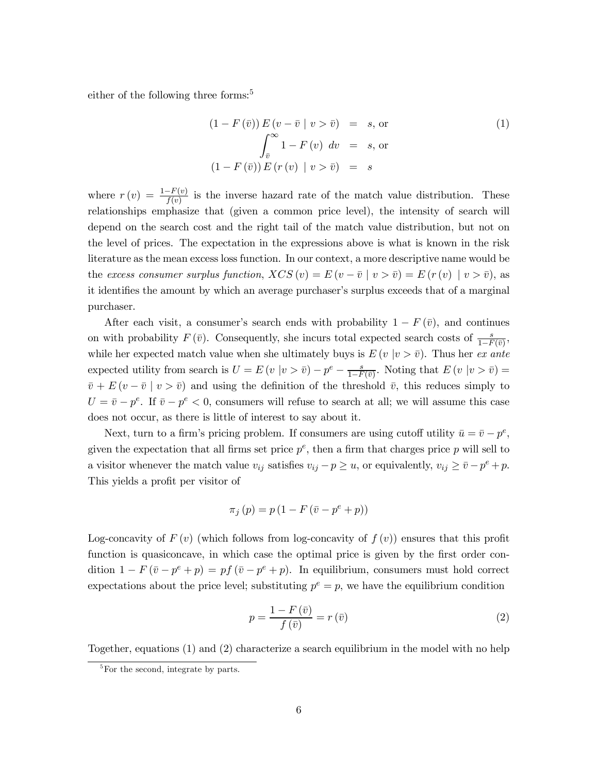either of the following three forms:<sup>5</sup>

$$
(1 - F(\bar{v})) E(v - \bar{v} | v > \bar{v}) = s, \text{ or}
$$
  

$$
\int_{\bar{v}}^{\infty} 1 - F(v) dv = s, \text{ or}
$$
  

$$
(1 - F(\bar{v})) E(r(v) | v > \bar{v}) = s
$$
 (1)

where  $r(v) = \frac{1-F(v)}{f(v)}$  is the inverse hazard rate of the match value distribution. These relationships emphasize that (given a common price level), the intensity of search will depend on the search cost and the right tail of the match value distribution, but not on the level of prices. The expectation in the expressions above is what is known in the risk literature as the mean excess loss function. In our context, a more descriptive name would be the excess consumer surplus function,  $XCS(v) = E(v - \bar{v} \mid v > \bar{v}) = E(r(v) \mid v > \bar{v})$ , as it identifies the amount by which an average purchaser's surplus exceeds that of a marginal purchaser.

After each visit, a consumer's search ends with probability  $1-F(\bar{v})$ , and continues on with probability  $F(\bar{v})$ . Consequently, she incurs total expected search costs of  $\frac{s}{1-F(\bar{v})}$ , while her expected match value when she ultimately buys is  $E(v | v > \overline{v})$ . Thus her ex ante expected utility from search is  $U = E(v | v > \bar{v}) - p^e - \frac{s}{1 - F(\bar{v})}$ . Noting that  $E(v | v > \bar{v}) =$  $\bar{v} + E(v - \bar{v} \mid v > \bar{v})$  and using the definition of the threshold  $\bar{v}$ , this reduces simply to  $U = \bar{v} - p^e$ . If  $\bar{v} - p^e < 0$ , consumers will refuse to search at all; we will assume this case does not occur, as there is little of interest to say about it.

Next, turn to a firm's pricing problem. If consumers are using cutoff utility  $\bar{u} = \bar{v} - p^e$ , given the expectation that all firms set price  $p^e$ , then a firm that charges price p will sell to a visitor whenever the match value  $v_{ij}$  satisfies  $v_{ij} - p \ge u$ , or equivalently,  $v_{ij} \ge \bar{v} - p^e + p$ . This yields a profit per visitor of

$$
\pi_j(p) = p(1 - F(\bar{v} - p^e + p))
$$

Log-concavity of  $F(v)$  (which follows from log-concavity of  $f(v)$ ) ensures that this profit function is quasiconcave, in which case the optimal price is given by the first order condition  $1 - F(\bar{v} - p^e + p) = pf(\bar{v} - p^e + p)$ . In equilibrium, consumers must hold correct expectations about the price level; substituting  $p^e = p$ , we have the equilibrium condition

$$
p = \frac{1 - F\left(\bar{v}\right)}{f\left(\bar{v}\right)} = r\left(\bar{v}\right)
$$
\n<sup>(2)</sup>

Together, equations (1) and (2) characterize a search equilibrium in the model with no help

 ${}^{5}$ For the second, integrate by parts.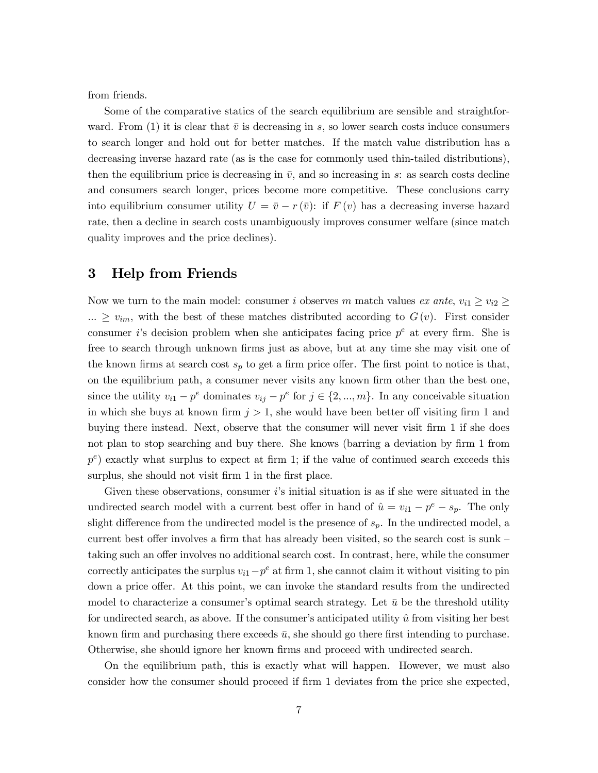from friends.

Some of the comparative statics of the search equilibrium are sensible and straightforward. From (1) it is clear that  $\bar{v}$  is decreasing in s, so lower search costs induce consumers to search longer and hold out for better matches. If the match value distribution has a decreasing inverse hazard rate (as is the case for commonly used thin-tailed distributions), then the equilibrium price is decreasing in  $\bar{v}$ , and so increasing in s: as search costs decline and consumers search longer, prices become more competitive. These conclusions carry into equilibrium consumer utility  $U = \bar{v} - r(\bar{v})$ : if  $F(v)$  has a decreasing inverse hazard rate, then a decline in search costs unambiguously improves consumer welfare (since match quality improves and the price declines).

# 3 Help from Friends

Now we turn to the main model: consumer i observes m match values ex ante,  $v_{i1} \ge v_{i2} \ge$  $\ldots \geq v_{im}$ , with the best of these matches distributed according to  $G(v)$ . First consider consumer i's decision problem when she anticipates facing price  $p^e$  at every firm. She is free to search through unknown firms just as above, but at any time she may visit one of the known firms at search cost  $s_p$  to get a firm price offer. The first point to notice is that, on the equilibrium path, a consumer never visits any known firm other than the best one, since the utility  $v_{i1} - p^e$  dominates  $v_{ij} - p^e$  for  $j \in \{2, ..., m\}$ . In any conceivable situation in which she buys at known firm  $j > 1$ , she would have been better off visiting firm 1 and buying there instead. Next, observe that the consumer will never visit firm 1 if she does not plan to stop searching and buy there. She knows (barring a deviation by firm 1 from  $p^e$ ) exactly what surplus to expect at firm 1; if the value of continued search exceeds this surplus, she should not visit firm  $1$  in the first place.

Given these observations, consumer  $i$ 's initial situation is as if she were situated in the undirected search model with a current best offer in hand of  $\hat{u} = v_{i1} - p^e - s_p$ . The only slight difference from the undirected model is the presence of  $s_p$ . In the undirected model, a current best offer involves a firm that has already been visited, so the search cost is sunk  $$ taking such an offer involves no additional search cost. In contrast, here, while the consumer correctly anticipates the surplus  $v_{i1}-p^e$  at firm 1, she cannot claim it without visiting to pin down a price offer. At this point, we can invoke the standard results from the undirected model to characterize a consumer's optimal search strategy. Let  $\bar{u}$  be the threshold utility for undirected search, as above. If the consumer's anticipated utility  $\hat{u}$  from visiting her best known firm and purchasing there exceeds  $\bar{u}$ , she should go there first intending to purchase. Otherwise, she should ignore her known firms and proceed with undirected search.

On the equilibrium path, this is exactly what will happen. However, we must also consider how the consumer should proceed if firm 1 deviates from the price she expected,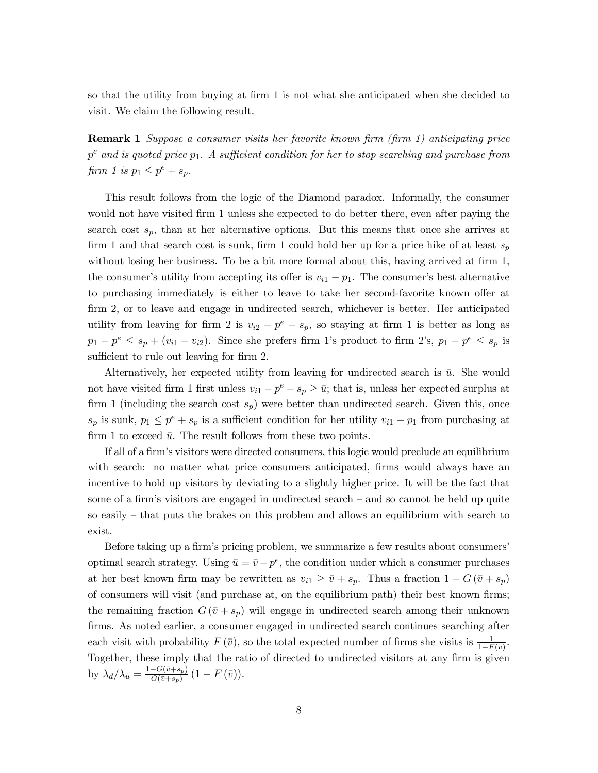so that the utility from buying at firm 1 is not what she anticipated when she decided to visit. We claim the following result.

**Remark 1** Suppose a consumer visits her favorite known firm (firm 1) anticipating price  $p^e$  and is quoted price  $p_1$ . A sufficient condition for her to stop searching and purchase from firm 1 is  $p_1 \leq p^e + s_p$ .

This result follows from the logic of the Diamond paradox. Informally, the consumer would not have visited firm 1 unless she expected to do better there, even after paying the search cost  $s_p$ , than at her alternative options. But this means that once she arrives at firm 1 and that search cost is sunk, firm 1 could hold her up for a price hike of at least  $s_p$ without losing her business. To be a bit more formal about this, having arrived at firm 1, the consumer's utility from accepting its offer is  $v_{i1} - p_1$ . The consumer's best alternative to purchasing immediately is either to leave to take her second-favorite known offer at firm 2, or to leave and engage in undirected search, whichever is better. Her anticipated utility from leaving for firm 2 is  $v_{i2} - p^e - s_p$ , so staying at firm 1 is better as long as  $p_1 - p^e \leq s_p + (v_{i1} - v_{i2})$ . Since she prefers firm 1's product to firm 2's,  $p_1 - p^e \leq s_p$  is sufficient to rule out leaving for firm 2.

Alternatively, her expected utility from leaving for undirected search is  $\bar{u}$ . She would not have visited firm 1 first unless  $v_{i1} - p^e - s_p \ge \bar{u}$ ; that is, unless her expected surplus at firm 1 (including the search cost  $s_p$ ) were better than undirected search. Given this, once  $s_p$  is sunk,  $p_1 \leq p^e + s_p$  is a sufficient condition for her utility  $v_{i1} - p_1$  from purchasing at firm 1 to exceed  $\bar{u}$ . The result follows from these two points.

If all of a firm's visitors were directed consumers, this logic would preclude an equilibrium with search: no matter what price consumers anticipated, firms would always have an incentive to hold up visitors by deviating to a slightly higher price. It will be the fact that some of a firm's visitors are engaged in undirected search – and so cannot be held up quite so easily  $-$  that puts the brakes on this problem and allows an equilibrium with search to exist.

Before taking up a firm's pricing problem, we summarize a few results about consumers' optimal search strategy. Using  $\bar{u} = \bar{v} - p^e$ , the condition under which a consumer purchases at her best known firm may be rewritten as  $v_{i1} \geq \bar{v} + s_p$ . Thus a fraction  $1 - G(\bar{v} + s_p)$ of consumers will visit (and purchase at, on the equilibrium path) their best known firms; the remaining fraction  $G(\bar{v}+s_p)$  will engage in undirected search among their unknown firms. As noted earlier, a consumer engaged in undirected search continues searching after each visit with probability  $F(\bar{v})$ , so the total expected number of firms she visits is  $\frac{1}{1-F(\bar{v})}$ . Together, these imply that the ratio of directed to undirected visitors at any firm is given by  $\lambda_d/\lambda_u = \frac{1 - G(\bar{v} + s_p)}{G(\bar{v} + s_p)} (1 - F(\bar{v})).$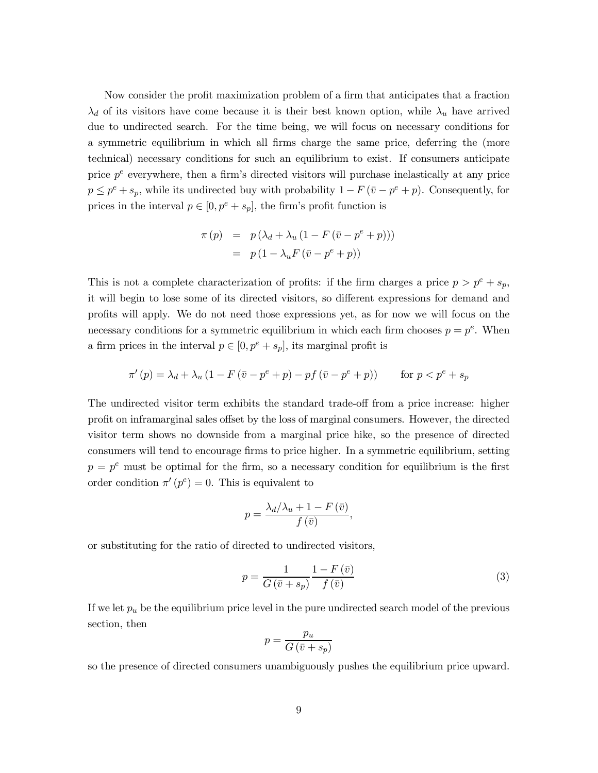Now consider the profit maximization problem of a firm that anticipates that a fraction  $\lambda_d$  of its visitors have come because it is their best known option, while  $\lambda_u$  have arrived due to undirected search. For the time being, we will focus on necessary conditions for a symmetric equilibrium in which all firms charge the same price, deferring the (more technical) necessary conditions for such an equilibrium to exist. If consumers anticipate price  $p^e$  everywhere, then a firm's directed visitors will purchase inelastically at any price  $p \leq p^{e} + s_{p}$ , while its undirected buy with probability  $1 - F(\bar{v} - p^{e} + p)$ . Consequently, for prices in the interval  $p \in [0, p^e + s_p]$ , the firm's profit function is

$$
\pi(p) = p(\lambda_d + \lambda_u (1 - F(\bar{v} - p^e + p)))
$$

$$
= p(1 - \lambda_u F(\bar{v} - p^e + p))
$$

This is not a complete characterization of profits: if the firm charges a price  $p > p^e + s_p$ , it will begin to lose some of its directed visitors, so different expressions for demand and profits will apply. We do not need those expressions yet, as for now we will focus on the necessary conditions for a symmetric equilibrium in which each firm chooses  $p = p^e$ . When a firm prices in the interval  $p \in [0, p^e + s_p]$ , its marginal profit is

$$
\pi'(p) = \lambda_d + \lambda_u \left(1 - F\left(\bar{v} - p^e + p\right) - pf\left(\bar{v} - p^e + p\right)\right) \qquad \text{for } p < p^e + s_p
$$

The undirected visitor term exhibits the standard trade-off from a price increase: higher profit on inframarginal sales offset by the loss of marginal consumers. However, the directed visitor term shows no downside from a marginal price hike, so the presence of directed consumers will tend to encourage firms to price higher. In a symmetric equilibrium, setting  $p = p<sup>e</sup>$  must be optimal for the firm, so a necessary condition for equilibrium is the first order condition  $\pi'(p^e) = 0$ . This is equivalent to

$$
p = \frac{\lambda_d/\lambda_u + 1 - F(\bar{v})}{f(\bar{v})}
$$

or substituting for the ratio of directed to undirected visitors,

$$
p = \frac{1}{G\left(\bar{v} + s_p\right)} \frac{1 - F\left(\bar{v}\right)}{f\left(\bar{v}\right)}\tag{3}
$$

If we let  $p_u$  be the equilibrium price level in the pure undirected search model of the previous section, then

$$
p = \frac{p_u}{G\left(\bar{v} + s_p\right)}
$$

so the presence of directed consumers unambiguously pushes the equilibrium price upward.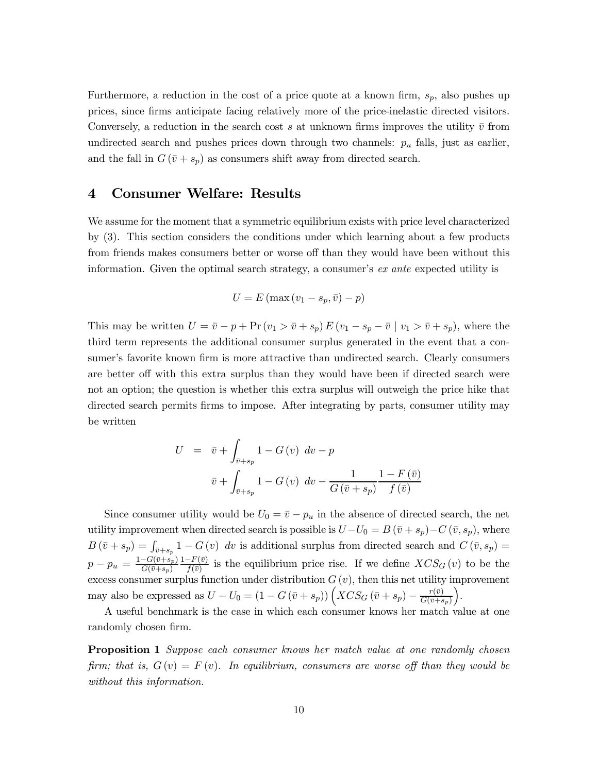Furthermore, a reduction in the cost of a price quote at a known firm,  $s_p$ , also pushes up prices, since firms anticipate facing relatively more of the price-inelastic directed visitors. Conversely, a reduction in the search cost s at unknown firms improves the utility  $\bar{v}$  from undirected search and pushes prices down through two channels:  $p_u$  falls, just as earlier, and the fall in  $G(\bar{v}+s_p)$  as consumers shift away from directed search.

#### 4 **Consumer Welfare: Results**

We assume for the moment that a symmetric equilibrium exists with price level characterized by (3). This section considers the conditions under which learning about a few products from friends makes consumers better or worse off than they would have been without this information. Given the optimal search strategy, a consumer's  $ex$  ante expected utility is

$$
U = E(\max(v_1 - s_p, \bar{v}) - p)
$$

This may be written  $U = \bar{v} - p + Pr (v_1 > \bar{v} + s_p) E (v_1 - s_p - \bar{v} \mid v_1 > \bar{v} + s_p)$ , where the third term represents the additional consumer surplus generated in the event that a consumer's favorite known firm is more attractive than undirected search. Clearly consumers are better off with this extra surplus than they would have been if directed search were not an option; the question is whether this extra surplus will outweigh the price hike that directed search permits firms to impose. After integrating by parts, consumer utility may be written

$$
U = \bar{v} + \int_{\bar{v}+s_p} 1 - G(v) dv - p
$$

$$
\bar{v} + \int_{\bar{v}+s_p} 1 - G(v) dv - \frac{1}{G(\bar{v}+s_p)} \frac{1 - F(\bar{v})}{f(\bar{v})}
$$

Since consumer utility would be  $U_0 = \bar{v} - p_u$  in the absence of directed search, the net utility improvement when directed search is possible is  $U-U_0=B(\bar{v}+s_p)-C(\bar{v},s_p)$ , where  $B(\bar{v}+s_p) = \int_{\bar{v}+s_p} 1 - G(v) dv$  is additional surplus from directed search and  $C(\bar{v}, s_p) = p - p_u = \frac{1-G(\bar{v}+s_p)}{G(\bar{v}+s_p)} \frac{1-F(\bar{v})}{f(\bar{v})}$  is the equilibrium price rise. If we define  $XCS_G(v)$  to be the excess consumer surplus function under distribution  $G(v)$ , then this net utility improvement may also be expressed as  $U-U_0=(1-G(\bar{v}+s_p))\left(XCS_G(\bar{v}+s_p)-\frac{r(\bar{v})}{G(\bar{v}+s_p)}\right)$ .

A useful benchmark is the case in which each consumer knows her match value at one randomly chosen firm.

Proposition 1 Suppose each consumer knows her match value at one randomly chosen firm; that is,  $G(v) = F(v)$ . In equilibrium, consumers are worse off than they would be without this information.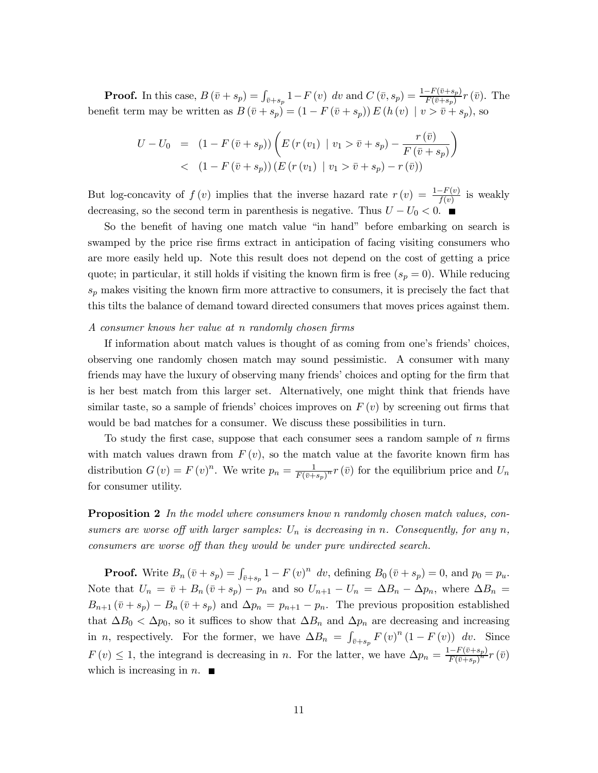**Proof.** In this case,  $B(\bar{v}+s_p) = \int_{\bar{v}+s_p} 1 - F(v) dv$  and  $C(\bar{v}, s_p) = \frac{1 - F(\bar{v}+s_p)}{F(\bar{v}+s_p)} r(\bar{v})$ . The benefit term may be written as  $B(\bar{v}+s_p)=(1-F(\bar{v}+s_p))E(h(v))$   $|v>\bar{v}+s_p)$ , so

$$
U - U_0 = (1 - F(\bar{v} + s_p)) \left( E(r(v_1) | v_1 > \bar{v} + s_p) - \frac{r(\bar{v})}{F(\bar{v} + s_p)} \right) < (1 - F(\bar{v} + s_p)) (E(r(v_1) | v_1 > \bar{v} + s_p) - r(\bar{v}))
$$

But log-concavity of  $f(v)$  implies that the inverse hazard rate  $r(v) = \frac{1-F(v)}{f(v)}$  is weakly decreasing, so the second term in parenthesis is negative. Thus  $U - U_0 < 0$ .

So the benefit of having one match value "in hand" before embarking on search is swamped by the price rise firms extract in anticipation of facing visiting consumers who are more easily held up. Note this result does not depend on the cost of getting a price quote; in particular, it still holds if visiting the known firm is free  $(s_p = 0)$ . While reducing  $s_p$  makes visiting the known firm more attractive to consumers, it is precisely the fact that this tilts the balance of demand toward directed consumers that moves prices against them.

### A consumer knows her value at n randomly chosen firms

If information about match values is thought of as coming from one's friends' choices, observing one randomly chosen match may sound pessimistic. A consumer with many friends may have the luxury of observing many friends' choices and opting for the firm that is her best match from this larger set. Alternatively, one might think that friends have similar taste, so a sample of friends' choices improves on  $F(v)$  by screening out firms that would be bad matches for a consumer. We discuss these possibilities in turn.

To study the first case, suppose that each consumer sees a random sample of  $n$  firms with match values drawn from  $F(v)$ , so the match value at the favorite known firm has distribution  $G(v) = F(v)^n$ . We write  $p_n = \frac{1}{F(\bar{v}+s_p)^n} r(\bar{v})$  for the equilibrium price and  $U_n$ for consumer utility.

**Proposition 2** In the model where consumers know n randomly chosen match values, consumers are worse off with larger samples:  $U_n$  is decreasing in n. Consequently, for any n, consumers are worse off than they would be under pure undirected search.

**Proof.** Write  $B_n(\bar{v} + s_p) = \int_{\bar{v}+s_p} 1 - F(v)^n dv$ , defining  $B_0(\bar{v} + s_p) = 0$ , and  $p_0 = p_u$ . Note that  $U_n = \bar{v} + B_n(\bar{v} + s_p) - p_n$  and so  $U_{n+1} - U_n = \Delta B_n - \Delta p_n$ , where  $\Delta B_n =$  $B_{n+1}(\bar{v}+s_p) - B_n(\bar{v}+s_p)$  and  $\Delta p_n = p_{n+1} - p_n$ . The previous proposition established that  $\Delta B_0 < \Delta p_0$ , so it suffices to show that  $\Delta B_n$  and  $\Delta p_n$  are decreasing and increasing in *n*, respectively. For the former, we have  $\Delta B_n = \int_{\bar{v}+s_n} F(v)^n (1-F(v)) dv$ . Since  $F(v) \leq 1$ , the integrand is decreasing in *n*. For the latter, we have  $\Delta p_n = \frac{1 - F(\bar{v} + s_p)}{F(\bar{v} + s_p)^n} r(\bar{v})$ which is increasing in  $n$ .  $\blacksquare$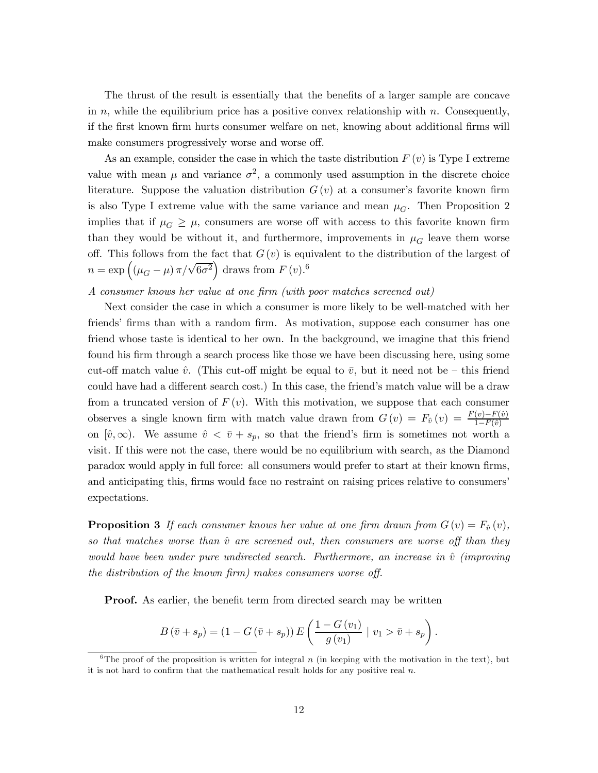The thrust of the result is essentially that the benefits of a larger sample are concave in n, while the equilibrium price has a positive convex relationship with n. Consequently, if the first known firm hurts consumer welfare on net, knowing about additional firms will make consumers progressively worse and worse off.

As an example, consider the case in which the taste distribution  $F(v)$  is Type I extreme value with mean  $\mu$  and variance  $\sigma^2$ , a commonly used assumption in the discrete choice literature. Suppose the valuation distribution  $G(v)$  at a consumer's favorite known firm is also Type I extreme value with the same variance and mean  $\mu_G$ . Then Proposition 2 implies that if  $\mu_G \geq \mu$ , consumers are worse off with access to this favorite known firm than they would be without it, and furthermore, improvements in  $\mu_G$  leave them worse off. This follows from the fact that  $G(v)$  is equivalent to the distribution of the largest of  $n = \exp\left((\mu_G - \mu)\pi/\sqrt{6\sigma^2}\right)$  draws from  $F(v)$ .<sup>6</sup>

## A consumer knows her value at one firm (with poor matches screened out)

Next consider the case in which a consumer is more likely to be well-matched with her friends' firms than with a random firm. As motivation, suppose each consumer has one friend whose taste is identical to her own. In the background, we imagine that this friend found his firm through a search process like those we have been discussing here, using some cut-off match value  $\hat{v}$ . (This cut-off might be equal to  $\bar{v}$ , but it need not be – this friend could have had a different search cost.) In this case, the friend's match value will be a draw from a truncated version of  $F(v)$ . With this motivation, we suppose that each consumer observes a single known firm with match value drawn from  $G(v) = F_{\hat{v}}(v) = \frac{F(v) - F(\hat{v})}{1 - F(\hat{v})}$ on  $[\hat{v}, \infty)$ . We assume  $\hat{v} < \bar{v} + s_p$ , so that the friend's firm is sometimes not worth a visit. If this were not the case, there would be no equilibrium with search, as the Diamond paradox would apply in full force: all consumers would prefer to start at their known firms, and anticipating this, firms would face no restraint on raising prices relative to consumers expectations.

**Proposition 3** If each consumer knows her value at one firm drawn from  $G(v) = F_{\hat{v}}(v)$ , so that matches worse than  $\hat{v}$  are screened out, then consumers are worse off than they would have been under pure undirected search. Furthermore, an increase in  $\hat{v}$  (improving the distribution of the known firm) makes consumers worse off.

**Proof.** As earlier, the benefit term from directed search may be written

$$
B\left(\bar{v} + s_p\right) = \left(1 - G\left(\bar{v} + s_p\right)\right) E\left(\frac{1 - G\left(v_1\right)}{g\left(v_1\right)} \mid v_1 > \bar{v} + s_p\right).
$$

<sup>&</sup>lt;sup>6</sup>The proof of the proposition is written for integral n (in keeping with the motivation in the text), but it is not hard to confirm that the mathematical result holds for any positive real  $n$ .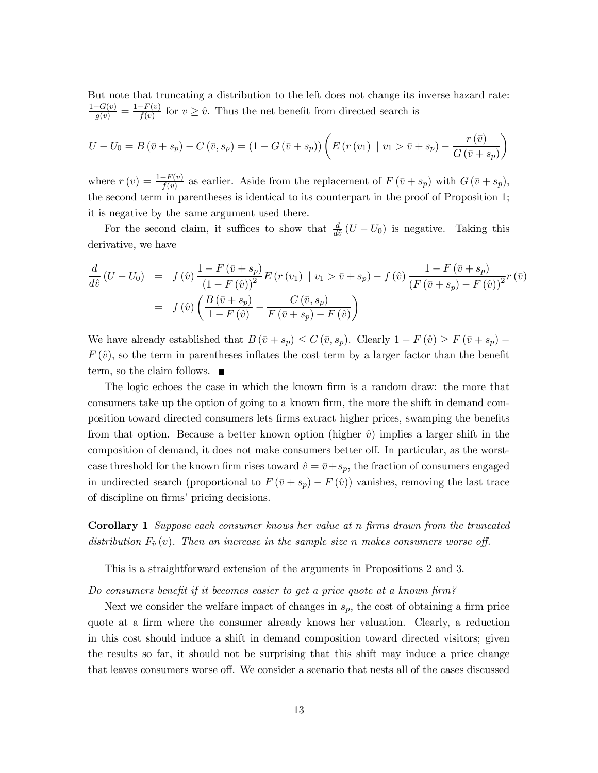But note that truncating a distribution to the left does not change its inverse hazard rate:  $\frac{1-G(v)}{g(v)} = \frac{1-F(v)}{f(v)}$  for  $v \geq \hat{v}$ . Thus the net benefit from directed search is

$$
U - U_0 = B(\bar{v} + s_p) - C(\bar{v}, s_p) = (1 - G(\bar{v} + s_p)) \left( E(r(v_1) \mid v_1 > \bar{v} + s_p) - \frac{r(\bar{v})}{G(\bar{v} + s_p)} \right)
$$

where  $r(v) = \frac{1-F(v)}{f(v)}$  as earlier. Aside from the replacement of  $F(\bar{v}+s_p)$  with  $G(\bar{v}+s_p)$ , the second term in parentheses is identical to its counterpart in the proof of Proposition 1; it is negative by the same argument used there.

For the second claim, it suffices to show that  $\frac{d}{d\hat{v}}(U-U_0)$  is negative. Taking this derivative, we have

$$
\frac{d}{d\hat{v}}(U - U_0) = f(\hat{v}) \frac{1 - F(\bar{v} + s_p)}{(1 - F(\hat{v}))^2} E(r(v_1) | v_1 > \bar{v} + s_p) - f(\hat{v}) \frac{1 - F(\bar{v} + s_p)}{(F(\bar{v} + s_p) - F(\hat{v}))^2} r(\bar{v})
$$
\n
$$
= f(\hat{v}) \left( \frac{B(\bar{v} + s_p)}{1 - F(\hat{v})} - \frac{C(\bar{v}, s_p)}{F(\bar{v} + s_p) - F(\hat{v})} \right)
$$

We have already established that  $B(\bar{v}+s_p) \leq C(\bar{v},s_p)$ . Clearly  $1-F(\hat{v}) \geq F(\bar{v}+s_p)$  –  $F(\hat{v})$ , so the term in parentheses inflates the cost term by a larger factor than the benefit term, so the claim follows.

The logic echoes the case in which the known firm is a random draw: the more that consumers take up the option of going to a known firm, the more the shift in demand composition toward directed consumers lets firms extract higher prices, swamping the benefits from that option. Because a better known option (higher  $\hat{v}$ ) implies a larger shift in the composition of demand, it does not make consumers better off. In particular, as the worstcase threshold for the known firm rises toward  $\hat{v} = \bar{v} + s_p$ , the fraction of consumers engaged in undirected search (proportional to  $F(\bar{v}+s_p) - F(\hat{v})$ ) vanishes, removing the last trace of discipline on firms' pricing decisions.

**Corollary 1** Suppose each consumer knows her value at n firms drawn from the truncated distribution  $F_{\hat{v}}(v)$ . Then an increase in the sample size n makes consumers worse off.

This is a straightforward extension of the arguments in Propositions 2 and 3.

Do consumers benefit if it becomes easier to get a price quote at a known firm?

Next we consider the welfare impact of changes in  $s_p$ , the cost of obtaining a firm price quote at a firm where the consumer already knows her valuation. Clearly, a reduction in this cost should induce a shift in demand composition toward directed visitors; given the results so far, it should not be surprising that this shift may induce a price change that leaves consumers worse off. We consider a scenario that nests all of the cases discussed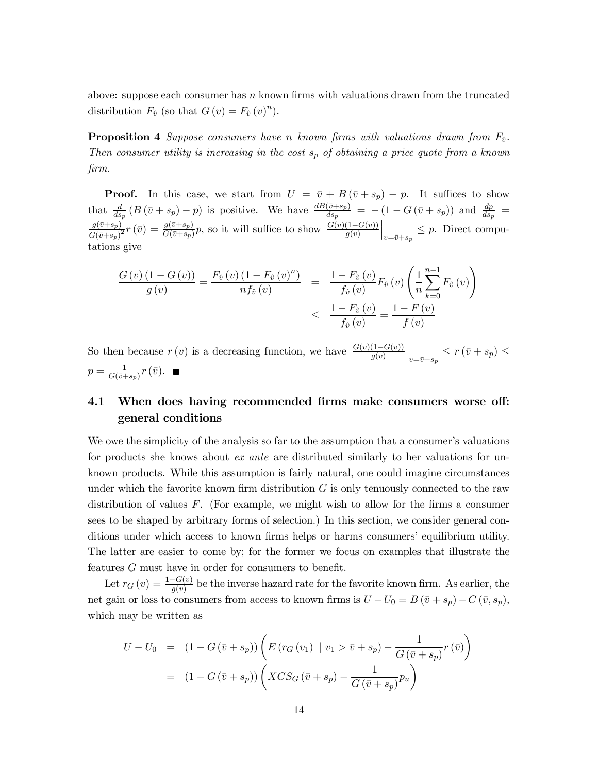above: suppose each consumer has  $n$  known firms with valuations drawn from the truncated distribution  $F_{\hat{v}}$  (so that  $G(v) = F_{\hat{v}}(v)^n$ ).

**Proposition 4** Suppose consumers have n known firms with valuations drawn from  $F_{\hat{v}}$ . Then consumer utility is increasing in the cost  $s_p$  of obtaining a price quote from a known  $\lim$ .

**Proof.** In this case, we start from  $U = \bar{v} + B(\bar{v} + s_p) - p$ . It suffices to show that  $\frac{d}{ds_p}(B(\bar{v}+s_p)-p)$  is positive. We have  $\frac{dB(\bar{v}+s_p)}{ds_p} = -(1-G(\bar{v}+s_p))$  and  $\frac{dp}{ds_p} =$ <br> $\frac{g(\bar{v}+s_p)}{G(\bar{v}+s_p)^2}r(\bar{v}) = \frac{g(\bar{v}+s_p)}{G(\bar{v}+s_p)}p$ , so it will suffice to show  $\frac{G(v)(1-G(v))}{g(v)}\Big|_{v=\bar{v}+s_p} \leq p$ tations give

$$
\frac{G(v)(1 - G(v))}{g(v)} = \frac{F_{\hat{v}}(v)(1 - F_{\hat{v}}(v)^{n})}{n f_{\hat{v}}(v)} = \frac{1 - F_{\hat{v}}(v)}{f_{\hat{v}}(v)} F_{\hat{v}}(v) \left(\frac{1}{n} \sum_{k=0}^{n-1} F_{\hat{v}}(v)\right)
$$
  

$$
\leq \frac{1 - F_{\hat{v}}(v)}{f_{\hat{v}}(v)} = \frac{1 - F(v)}{f(v)}
$$

So then because  $r(v)$  is a decreasing function, we have  $\frac{G(v)(1-G(v))}{g(v)}\Big|_{v=\bar{v}+s_n} \leq r(\bar{v}+s_p) \leq$  $p = \frac{1}{G(\bar{v}+s_p)}r(\bar{v})$ .

### 4.1 When does having recommended firms make consumers worse off: general conditions

We owe the simplicity of the analysis so far to the assumption that a consumer's valuations for products she knows about ex ante are distributed similarly to her valuations for unknown products. While this assumption is fairly natural, one could imagine circumstances under which the favorite known firm distribution  $G$  is only tenuously connected to the raw distribution of values  $F$ . (For example, we might wish to allow for the firms a consumer sees to be shaped by arbitrary forms of selection.) In this section, we consider general conditions under which access to known firms helps or harms consumers' equilibrium utility. The latter are easier to come by; for the former we focus on examples that illustrate the features  $G$  must have in order for consumers to benefit.

Let  $r_G(v) = \frac{1 - G(v)}{g(v)}$  be the inverse hazard rate for the favorite known firm. As earlier, the net gain or loss to consumers from access to known firms is  $U-U_0=B(\bar{v}+s_p)-C(\bar{v},s_p)$ , which may be written as

$$
U - U_0 = (1 - G(\bar{v} + s_p)) \left( E(r_G(v_1) \mid v_1 > \bar{v} + s_p) - \frac{1}{G(\bar{v} + s_p)} r(\bar{v}) \right)
$$

$$
= (1 - G(\bar{v} + s_p)) \left( XCS_G(\bar{v} + s_p) - \frac{1}{G(\bar{v} + s_p)} p_u \right)
$$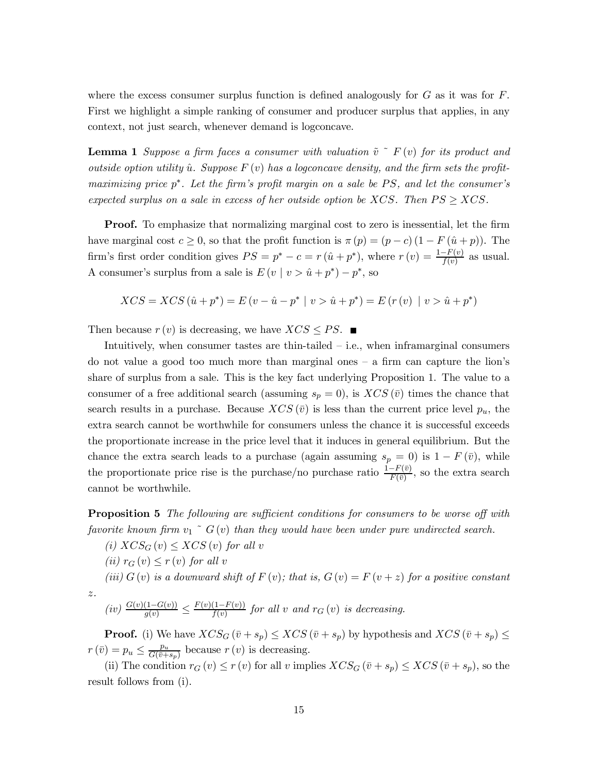where the excess consumer surplus function is defined analogously for  $G$  as it was for  $F$ . First we highlight a simple ranking of consumer and producer surplus that applies, in any context, not just search, whenever demand is logconcave.

**Lemma 1** Suppose a firm faces a consumer with valuation  $\tilde{v}$   $\tilde{r}$  (v) for its product and outside option utility  $\hat{u}$ . Suppose  $F(v)$  has a logconcave density, and the firm sets the profitmaximizing price  $p^*$ . Let the firm's profit margin on a sale be PS, and let the consumer's expected surplus on a sale in excess of her outside option be XCS. Then  $PS \geq XCS$ .

**Proof.** To emphasize that normalizing marginal cost to zero is inessential, let the firm have marginal cost  $c \ge 0$ , so that the profit function is  $\pi(p) = (p - c)(1 - F(\hat{u} + p))$ . The firm's first order condition gives  $PS = p^* - c = r(\hat{u} + p^*)$ , where  $r(v) = \frac{1 - F(v)}{f(v)}$  as usual. A consumer's surplus from a sale is  $E(v | v > \hat{u} + p^*) - p^*$ , so

$$
XCS = XCS \left( \hat{u} + p^* \right) = E \left( v - \hat{u} - p^* \mid v > \hat{u} + p^* \right) = E \left( r \left( v \right) \mid v > \hat{u} + p^* \right)
$$

Then because  $r(v)$  is decreasing, we have  $XCS \le PS$ .

Intuitively, when consumer tastes are thin-tailed  $-$  i.e., when inframarginal consumers do not value a good too much more than marginal ones  $-$  a firm can capture the lion's share of surplus from a sale. This is the key fact underlying Proposition 1. The value to a consumer of a free additional search (assuming  $s_p = 0$ ), is  $XCS(\bar{v})$  times the chance that search results in a purchase. Because  $XCS(\bar{v})$  is less than the current price level  $p_u$ , the extra search cannot be worthwhile for consumers unless the chance it is successful exceeds the proportionate increase in the price level that it induces in general equilibrium. But the chance the extra search leads to a purchase (again assuming  $s_p = 0$ ) is  $1 - F(\bar{v})$ , while the proportionate price rise is the purchase/no purchase ratio  $\frac{1-F(\bar{v})}{F(\bar{v})}$ , so the extra search cannot be worthwhile.

**Proposition 5** The following are sufficient conditions for consumers to be worse off with favorite known firm  $v_1$   $\tilde{G}(v)$  than they would have been under pure undirected search.

(i)  $XCS_G(v) \le XCS(v)$  for all v

$$
(ii) r_G(v) \le r(v) \text{ for all } v
$$

 $z.$ 

(iii)  $G(v)$  is a downward shift of  $F(v)$ ; that is,  $G(v) = F(v + z)$  for a positive constant

$$
(iv) \frac{G(v)(1-G(v))}{g(v)} \le \frac{F(v)(1-F(v))}{f(v)} \text{ for all } v \text{ and } r_G(v) \text{ is decreasing}
$$

**Proof.** (i) We have  $XCS_G(\bar{v}+s_p) \leq XCS(\bar{v}+s_p)$  by hypothesis and  $XCS(\bar{v}+s_p) \leq$  $r(\bar{v}) = p_u \leq \frac{p_u}{G(\bar{v} + s_p)}$  because  $r(v)$  is decreasing.

(ii) The condition  $r_G(v) \leq r(v)$  for all v implies  $XCS_G(\bar{v}+s_p) \leq XCS(\bar{v}+s_p)$ , so the result follows from (i).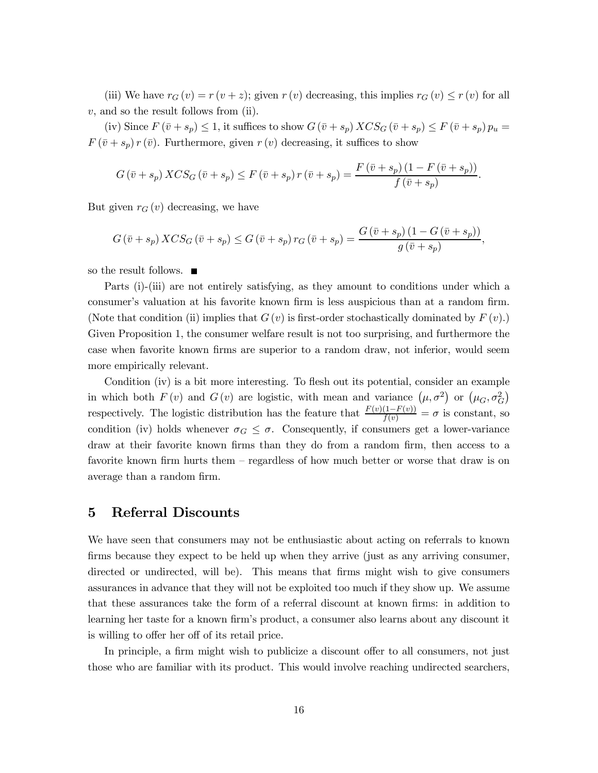(iii) We have  $r_G(v) = r(v + z)$ ; given  $r(v)$  decreasing, this implies  $r_G(v) \leq r(v)$  for all  $v$ , and so the result follows from (ii).

(iv) Since  $F(\bar{v}+s_p) \leq 1$ , it suffices to show  $G(\bar{v}+s_p) XCS_G(\bar{v}+s_p) \leq F(\bar{v}+s_p) p_u =$  $F(\bar{v}+s_p) r(\bar{v})$ . Furthermore, given  $r(v)$  decreasing, it suffices to show

$$
G(\bar{v}+s_p) XCS_G(\bar{v}+s_p) \le F(\bar{v}+s_p) r(\bar{v}+s_p) = \frac{F(\bar{v}+s_p)(1-F(\bar{v}+s_p))}{f(\bar{v}+s_p)}.
$$

But given  $r_G(v)$  decreasing, we have

$$
G(\bar{v}+s_p) XCS_G(\bar{v}+s_p) \le G(\bar{v}+s_p) r_G(\bar{v}+s_p) = \frac{G(\bar{v}+s_p) (1-G(\bar{v}+s_p))}{g(\bar{v}+s_p)}.
$$

so the result follows.  $\blacksquare$ 

Parts (i)-(iii) are not entirely satisfying, as they amount to conditions under which a consumer's valuation at his favorite known firm is less auspicious than at a random firm. (Note that condition (ii) implies that  $G(v)$  is first-order stochastically dominated by  $F(v)$ .) Given Proposition 1, the consumer welfare result is not too surprising, and furthermore the case when favorite known firms are superior to a random draw, not inferior, would seem more empirically relevant.

Condition (iv) is a bit more interesting. To flesh out its potential, consider an example in which both  $F(v)$  and  $G(v)$  are logistic, with mean and variance  $(\mu, \sigma^2)$  or  $(\mu_G, \sigma_G^2)$ respectively. The logistic distribution has the feature that  $\frac{F(v)(1-F(v))}{f(v)} = \sigma$  is constant, so condition (iv) holds whenever  $\sigma_G \leq \sigma$ . Consequently, if consumers get a lower-variance draw at their favorite known firms than they do from a random firm, then access to a favorite known firm hurts them – regardless of how much better or worse that draw is on average than a random firm.

#### Referral Discounts  $\bf{5}$

We have seen that consumers may not be enthusiastic about acting on referrals to known firms because they expect to be held up when they arrive (just as any arriving consumer, directed or undirected, will be). This means that firms might wish to give consumers assurances in advance that they will not be exploited too much if they show up. We assume that these assurances take the form of a referral discount at known firms: in addition to learning her taste for a known firm's product, a consumer also learns about any discount it is willing to offer her off of its retail price.

In principle, a firm might wish to publicize a discount offer to all consumers, not just those who are familiar with its product. This would involve reaching undirected searchers,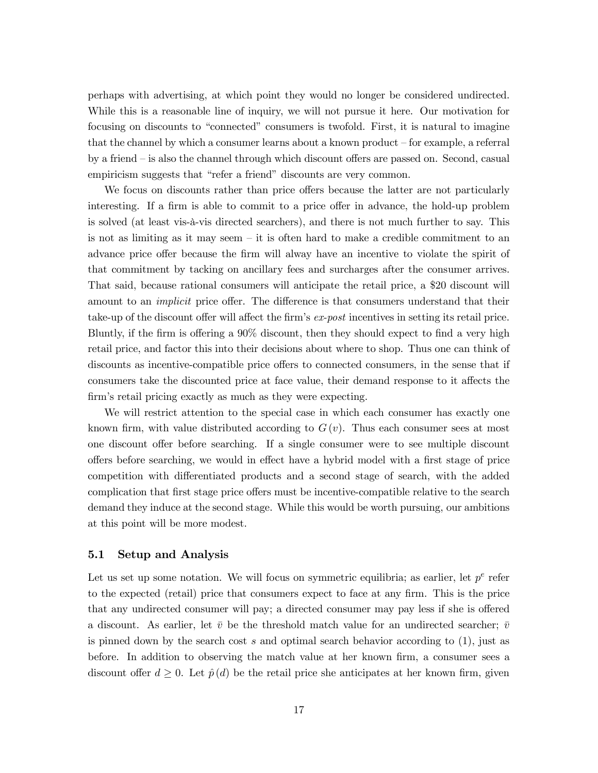perhaps with advertising, at which point they would no longer be considered undirected. While this is a reasonable line of inquiry, we will not pursue it here. Our motivation for focusing on discounts to "connected" consumers is twofold. First, it is natural to imagine that the channel by which a consumer learns about a known product  $-$  for example, a referral by a friend – is also the channel through which discount offers are passed on. Second, casual empiricism suggests that "refer a friend" discounts are very common.

We focus on discounts rather than price offers because the latter are not particularly interesting. If a firm is able to commit to a price offer in advance, the hold-up problem is solved (at least vis-à-vis directed searchers), and there is not much further to say. This is not as limiting as it may seem  $-$  it is often hard to make a credible commitment to an advance price offer because the firm will alway have an incentive to violate the spirit of that commitment by tacking on ancillary fees and surcharges after the consumer arrives. That said, because rational consumers will anticipate the retail price, a \$20 discount will amount to an *implicit* price offer. The difference is that consumers understand that their take-up of the discount offer will affect the firm's ex-post incentives in setting its retail price. Bluntly, if the firm is offering a 90% discount, then they should expect to find a very high retail price, and factor this into their decisions about where to shop. Thus one can think of discounts as incentive-compatible price offers to connected consumers, in the sense that if consumers take the discounted price at face value, their demand response to it affects the firm's retail pricing exactly as much as they were expecting.

We will restrict attention to the special case in which each consumer has exactly one known firm, with value distributed according to  $G(v)$ . Thus each consumer sees at most one discount offer before searching. If a single consumer were to see multiple discount offers before searching, we would in effect have a hybrid model with a first stage of price competition with differentiated products and a second stage of search, with the added complication that first stage price offers must be incentive-compatible relative to the search demand they induce at the second stage. While this would be worth pursuing, our ambitions at this point will be more modest.

#### $5.1$ **Setup and Analysis**

Let us set up some notation. We will focus on symmetric equilibria; as earlier, let  $p^e$  refer to the expected (retail) price that consumers expect to face at any firm. This is the price that any undirected consumer will pay; a directed consumer may pay less if she is offered a discount. As earlier, let  $\bar{v}$  be the threshold match value for an undirected searcher;  $\bar{v}$ is pinned down by the search cost s and optimal search behavior according to  $(1)$ , just as before. In addition to observing the match value at her known firm, a consumer sees a discount offer  $d \geq 0$ . Let  $\hat{p}(d)$  be the retail price she anticipates at her known firm, given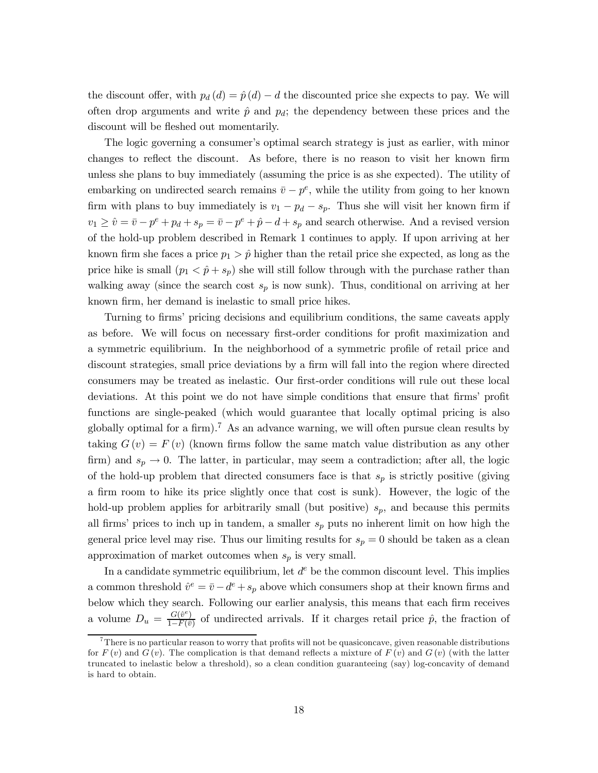the discount offer, with  $p_d(d) = \hat{p}(d) - d$  the discounted price she expects to pay. We will often drop arguments and write  $\hat{p}$  and  $p_d$ ; the dependency between these prices and the discount will be fleshed out momentarily.

The logic governing a consumer's optimal search strategy is just as earlier, with minor changes to reflect the discount. As before, there is no reason to visit her known firm unless she plans to buy immediately (assuming the price is as she expected). The utility of embarking on undirected search remains  $\bar{v} - p^e$ , while the utility from going to her known firm with plans to buy immediately is  $v_1 - p_d - s_p$ . Thus she will visit her known firm if  $v_1 \ge \hat{v} = \bar{v} - p^e + p_d + s_p = \bar{v} - p^e + \hat{p} - d + s_p$  and search otherwise. And a revised version of the hold-up problem described in Remark 1 continues to apply. If upon arriving at her known firm she faces a price  $p_1 > \hat{p}$  higher than the retail price she expected, as long as the price hike is small  $(p_1 < \hat{p} + s_p)$  she will still follow through with the purchase rather than walking away (since the search cost  $s_p$  is now sunk). Thus, conditional on arriving at her known firm, her demand is inelastic to small price hikes.

Turning to firms' pricing decisions and equilibrium conditions, the same caveats apply as before. We will focus on necessary first-order conditions for profit maximization and a symmetric equilibrium. In the neighborhood of a symmetric profile of retail price and discount strategies, small price deviations by a firm will fall into the region where directed consumers may be treated as inelastic. Our first-order conditions will rule out these local deviations. At this point we do not have simple conditions that ensure that firms' profit functions are single-peaked (which would guarantee that locally optimal pricing is also globally optimal for a firm).<sup>7</sup> As an advance warning, we will often pursue clean results by taking  $G(v) = F(v)$  (known firms follow the same match value distribution as any other firm) and  $s_p \to 0$ . The latter, in particular, may seem a contradiction; after all, the logic of the hold-up problem that directed consumers face is that  $s_p$  is strictly positive (giving a firm room to hike its price slightly once that cost is sunk). However, the logic of the hold-up problem applies for arbitrarily small (but positive)  $s_p$ , and because this permits all firms' prices to inch up in tandem, a smaller  $s_p$  puts no inherent limit on how high the general price level may rise. Thus our limiting results for  $s_p = 0$  should be taken as a clean approximation of market outcomes when  $s_p$  is very small.

In a candidate symmetric equilibrium, let  $d^e$  be the common discount level. This implies a common threshold  $\hat{v}^e = \bar{v} - d^e + s_p$  above which consumers shop at their known firms and below which they search. Following our earlier analysis, this means that each firm receives a volume  $D_u = \frac{G(\hat{v}^e)}{1 - F(\bar{v})}$  of undirected arrivals. If it charges retail price  $\hat{p}$ , the fraction of

<sup>&</sup>lt;sup>7</sup>There is no particular reason to worry that profits will not be quasiconcave, given reasonable distributions for  $F(v)$  and  $G(v)$ . The complication is that demand reflects a mixture of  $F(v)$  and  $G(v)$  (with the latter truncated to inelastic below a threshold), so a clean condition guaranteeing (say) log-concavity of demand is hard to obtain.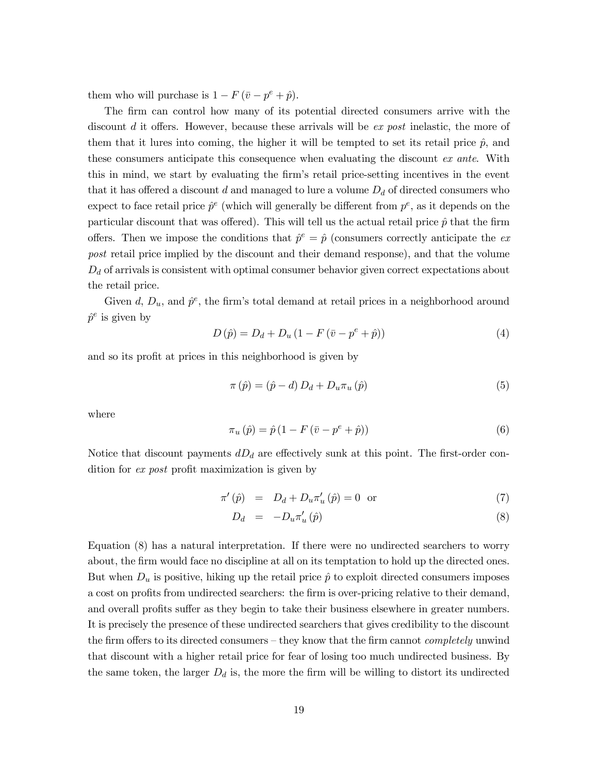them who will purchase is  $1 - F(\bar{v} - p^e + \hat{p}).$ 

The firm can control how many of its potential directed consumers arrive with the discount d it offers. However, because these arrivals will be ex post inelastic, the more of them that it lures into coming, the higher it will be tempted to set its retail price  $\hat{p}$ , and these consumers anticipate this consequence when evaluating the discount ex ante. With this in mind, we start by evaluating the firm's retail price-setting incentives in the event that it has offered a discount d and managed to lure a volume  $D_d$  of directed consumers who expect to face retail price  $\hat{p}^e$  (which will generally be different from  $p^e$ , as it depends on the particular discount that was offered). This will tell us the actual retail price  $\hat{p}$  that the firm offers. Then we impose the conditions that  $\hat{p}^e = \hat{p}$  (consumers correctly anticipate the expost retail price implied by the discount and their demand response), and that the volume  $D_d$  of arrivals is consistent with optimal consumer behavior given correct expectations about the retail price.

Given d,  $D_u$ , and  $\hat{p}^e$ , the firm's total demand at retail prices in a neighborhood around  $\hat{p}^e$  is given by

$$
D\left(\hat{p}\right) = D_d + D_u \left(1 - F\left(\bar{v} - p^e + \hat{p}\right)\right) \tag{4}
$$

and so its profit at prices in this neighborhood is given by

$$
\pi(\hat{p}) = (\hat{p} - d) D_d + D_u \pi_u(\hat{p})
$$
\n(5)

where

$$
\pi_u(\hat{p}) = \hat{p} \left( 1 - F(\bar{v} - p^e + \hat{p}) \right) \tag{6}
$$

Notice that discount payments  $dD_d$  are effectively sunk at this point. The first-order condition for ex post profit maximization is given by

$$
\pi'(\hat{p}) = D_d + D_u \pi'_u(\hat{p}) = 0 \quad \text{or} \tag{7}
$$

$$
D_d = -D_u \pi'_u(\hat{p}) \tag{8}
$$

Equation (8) has a natural interpretation. If there were no undirected searchers to worry about, the firm would face no discipline at all on its temptation to hold up the directed ones. But when  $D_u$  is positive, hiking up the retail price  $\hat{p}$  to exploit directed consumers imposes a cost on profits from undirected searchers: the firm is over-pricing relative to their demand, and overall profits suffer as they begin to take their business elsewhere in greater numbers. It is precisely the presence of these undirected searchers that gives credibility to the discount the firm offers to its directed consumers – they know that the firm cannot *completely* unwind that discount with a higher retail price for fear of losing too much undirected business. By the same token, the larger  $D_d$  is, the more the firm will be willing to distort its undirected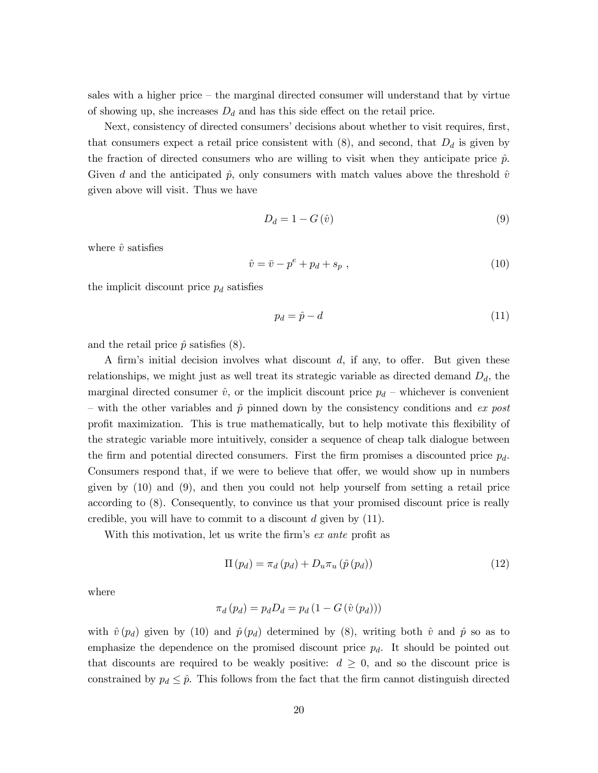sales with a higher price  $-$  the marginal directed consumer will understand that by virtue of showing up, she increases  $D_d$  and has this side effect on the retail price.

Next, consistency of directed consumers' decisions about whether to visit requires, first, that consumers expect a retail price consistent with  $(8)$ , and second, that  $D_d$  is given by the fraction of directed consumers who are willing to visit when they anticipate price  $\hat{p}$ . Given d and the anticipated  $\hat{p}$ , only consumers with match values above the threshold  $\hat{v}$ given above will visit. Thus we have

$$
D_d = 1 - G\left(\hat{v}\right) \tag{9}
$$

where  $\hat{v}$  satisfies

$$
\hat{v} = \bar{v} - p^e + p_d + s_p \tag{10}
$$

the implicit discount price  $p_d$  satisfies

$$
p_d = \hat{p} - d \tag{11}
$$

and the retail price  $\hat{p}$  satisfies (8).

A firm's initial decision involves what discount d, if any, to offer. But given these relationships, we might just as well treat its strategic variable as directed demand  $D_d$ , the marginal directed consumer  $\hat{v}$ , or the implicit discount price  $p_d$  – whichever is convenient - with the other variables and  $\hat{p}$  pinned down by the consistency conditions and ex post profit maximization. This is true mathematically, but to help motivate this flexibility of the strategic variable more intuitively, consider a sequence of cheap talk dialogue between the firm and potential directed consumers. First the firm promises a discounted price  $p_d$ . Consumers respond that, if we were to believe that offer, we would show up in numbers given by  $(10)$  and  $(9)$ , and then you could not help yourself from setting a retail price according to (8). Consequently, to convince us that your promised discount price is really credible, you will have to commit to a discount  $d$  given by  $(11)$ .

With this motivation, let us write the firm's ex ante profit as

$$
\Pi\left(p_d\right) = \pi_d\left(p_d\right) + D_u\pi_u\left(\hat{p}\left(p_d\right)\right) \tag{12}
$$

where

$$
\pi_d(p_d) = p_d D_d = p_d (1 - G(\hat{v}(p_d)))
$$

with  $\hat{v}(p_d)$  given by (10) and  $\hat{p}(p_d)$  determined by (8), writing both  $\hat{v}$  and  $\hat{p}$  so as to emphasize the dependence on the promised discount price  $p_d$ . It should be pointed out that discounts are required to be weakly positive:  $d \geq 0$ , and so the discount price is constrained by  $p_d \leq \hat{p}$ . This follows from the fact that the firm cannot distinguish directed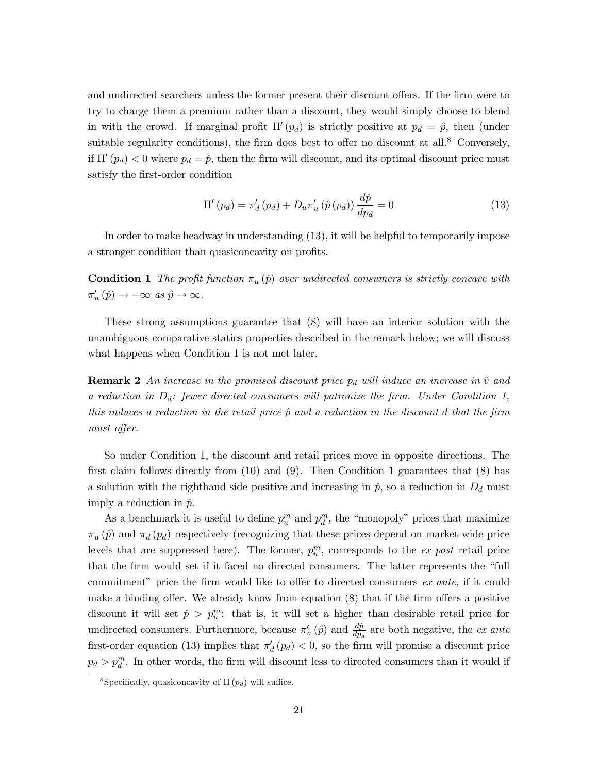and undirected searchers unless the former present their discount offers. If the firm were to try to charge them a premium rather than a discount, they would simply choose to blend in with the crowd. If marginal profit  $\Pi'(p_d)$  is strictly positive at  $p_d = \hat{p}$ , then (under suitable regularity conditions), the firm does best to offer no discount at all.<sup>8</sup> Conversely, if  $\Pi'(p_d) < 0$  where  $p_d = \hat{p}$ , then the firm will discount, and its optimal discount price must satisfy the first-order condition

$$
\Pi'(p_d) = \pi'_d(p_d) + D_u \pi'_u(\hat{p}(p_d)) \frac{d\hat{p}}{dp_d} = 0 \tag{13}
$$

In order to make headway in understanding  $(13)$ , it will be helpful to temporarily impose a stronger condition than quasiconcavity on profits.

**Condition 1** The profit function  $\pi_u(\hat{p})$  over undirected consumers is strictly concave with  $\pi'_u(\hat{p}) \rightarrow -\infty \ \text{as} \ \hat{p} \rightarrow \infty.$ 

These strong assumptions guarantee that  $(8)$  will have an interior solution with the unambiguous comparative statics properties described in the remark below; we will discuss what happens when Condition 1 is not met later.

**Remark 2** An increase in the promised discount price  $p_d$  will induce an increase in  $\hat{v}$  and a reduction in  $D_d$ : fewer directed consumers will patronize the firm. Under Condition 1, this induces a reduction in the retail price  $\hat{p}$  and a reduction in the discount d that the firm must offer.

So under Condition 1, the discount and retail prices move in opposite directions. The first claim follows directly from  $(10)$  and  $(9)$ . Then Condition 1 guarantees that  $(8)$  has a solution with the righthand side positive and increasing in  $\hat{p}$ , so a reduction in  $D_d$  must imply a reduction in  $\hat{p}$ .

As a benchmark it is useful to define  $p_u^m$  and  $p_d^m$ , the "monopoly" prices that maximize  $\pi_u(\hat{p})$  and  $\pi_d(p_d)$  respectively (recognizing that these prices depend on market-wide price levels that are suppressed here). The former,  $p_u^m$ , corresponds to the ex post retail price that the firm would set if it faced no directed consumers. The latter represents the "full" commitment" price the firm would like to offer to directed consumers ex ante, if it could make a binding offer. We already know from equation (8) that if the firm offers a positive discount it will set  $\hat{p} > p_u^m$ : that is, it will set a higher than desirable retail price for undirected consumers. Furthermore, because  $\pi'_u(\hat{p})$  and  $\frac{d\hat{p}}{dp_d}$  are both negative, the *ex ante* first-order equation (13) implies that  $\pi'_d(p_d) < 0$ , so the firm will promise a discount price  $p_d > p_d^m$ . In other words, the firm will discount less to directed consumers than it would if

<sup>&</sup>lt;sup>8</sup>Specifically, quasiconcavity of  $\Pi(p_d)$  will suffice.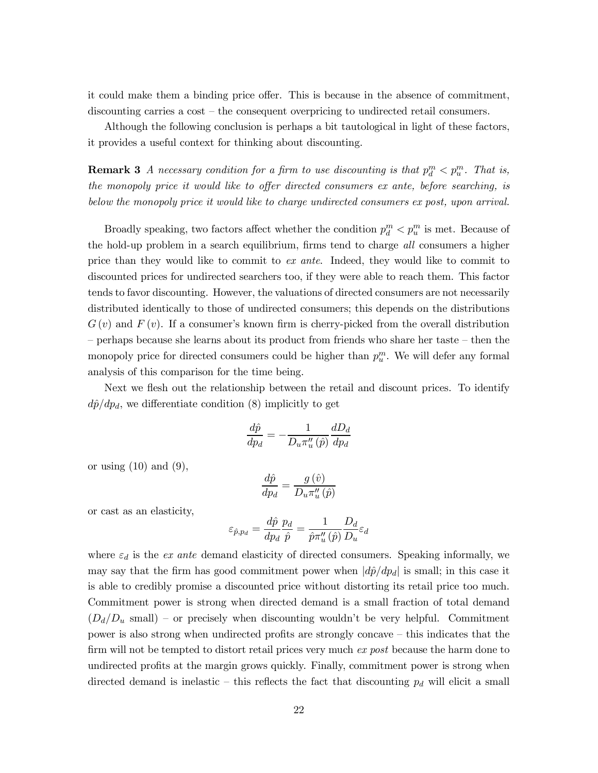it could make them a binding price offer. This is because in the absence of commitment, discounting carries a  $\cos t$  – the consequent overpricing to undirected retail consumers.

Although the following conclusion is perhaps a bit tautological in light of these factors, it provides a useful context for thinking about discounting.

**Remark 3** A necessary condition for a firm to use discounting is that  $p_d^m < p_u^m$ . That is, the monopoly price it would like to offer directed consumers ex ante, before searching, is below the monopoly price it would like to charge undirected consumers ex post, upon arrival.

Broadly speaking, two factors affect whether the condition  $p_d^m < p_u^m$  is met. Because of the hold-up problem in a search equilibrium, firms tend to charge all consumers a higher price than they would like to commit to ex ante. Indeed, they would like to commit to discounted prices for undirected searchers too, if they were able to reach them. This factor tends to favor discounting. However, the valuations of directed consumers are not necessarily distributed identically to those of undirected consumers; this depends on the distributions  $G(v)$  and  $F(v)$ . If a consumer's known firm is cherry-picked from the overall distribution  $-$  perhaps because she learns about its product from friends who share her taste  $-$  then the monopoly price for directed consumers could be higher than  $p_u^m$ . We will defer any formal analysis of this comparison for the time being.

Next we flesh out the relationship between the retail and discount prices. To identify  $d\hat{p}/dp_d$ , we differentiate condition (8) implicitly to get

$$
\frac{d\hat{p}}{dp_d} = -\frac{1}{D_u \pi_u''(\hat{p})} \frac{dD_d}{dp_d}
$$

or using  $(10)$  and  $(9)$ ,

$$
\frac{d\hat{p}}{dp_d} = \frac{g\left(\hat{v}\right)}{D_u \pi_u''\left(\hat{p}\right)}
$$

or cast as an elasticity,

$$
\varepsilon_{\hat{p},p_d} = \frac{d\hat{p}}{dp_d} \frac{p_d}{\hat{p}} = \frac{1}{\hat{p}\pi_u''(\hat{p})} \frac{D_d}{D_u} \varepsilon_d
$$

where  $\varepsilon_d$  is the ex ante demand elasticity of directed consumers. Speaking informally, we may say that the firm has good commitment power when  $|d\hat{p}/dp_d|$  is small; in this case it is able to credibly promise a discounted price without distorting its retail price too much. Commitment power is strong when directed demand is a small fraction of total demand  $(D_d/D_u \text{ small})$  - or precisely when discounting wouldn't be very helpful. Commitment power is also strong when undirected profits are strongly concave – this indicates that the firm will not be tempted to distort retail prices very much ex post because the harm done to undirected profits at the margin grows quickly. Finally, commitment power is strong when directed demand is inelastic – this reflects the fact that discounting  $p_d$  will elicit a small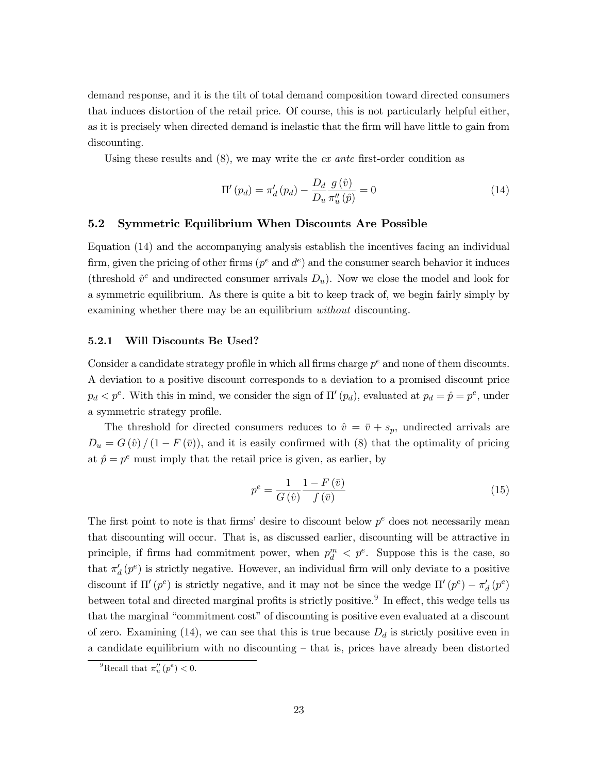demand response, and it is the tilt of total demand composition toward directed consumers that induces distortion of the retail price. Of course, this is not particularly helpful either, as it is precisely when directed demand is inelastic that the firm will have little to gain from discounting.

Using these results and  $(8)$ , we may write the *ex ante* first-order condition as

$$
\Pi'(p_d) = \pi'_d(p_d) - \frac{D_d}{D_u} \frac{g(\hat{v})}{\pi''_u(\hat{p})} = 0
$$
\n(14)

#### $5.2$ Symmetric Equilibrium When Discounts Are Possible

Equation (14) and the accompanying analysis establish the incentives facing an individual firm, given the pricing of other firms ( $p^e$  and  $d^e$ ) and the consumer search behavior it induces (threshold  $\hat{v}^e$  and undirected consumer arrivals  $D_u$ ). Now we close the model and look for a symmetric equilibrium. As there is quite a bit to keep track of, we begin fairly simply by examining whether there may be an equilibrium *without* discounting.

#### 5.2.1 Will Discounts Be Used?

Consider a candidate strategy profile in which all firms charge  $p^e$  and none of them discounts. A deviation to a positive discount corresponds to a deviation to a promised discount price  $p_d < p^e$ . With this in mind, we consider the sign of  $\Pi'(p_d)$ , evaluated at  $p_d = \hat{p} = p^e$ , under a symmetric strategy profile.

The threshold for directed consumers reduces to  $\hat{v} = \bar{v} + s_p$ , undirected arrivals are  $D_u = G(\hat{v})/(1 - F(\bar{v}))$ , and it is easily confirmed with (8) that the optimality of pricing at  $\hat{p} = p^e$  must imply that the retail price is given, as earlier, by

$$
p^{e} = \frac{1}{G\left(\hat{v}\right)} \frac{1 - F\left(\bar{v}\right)}{f\left(\bar{v}\right)}\tag{15}
$$

The first point to note is that firms' desire to discount below  $p^e$  does not necessarily mean that discounting will occur. That is, as discussed earlier, discounting will be attractive in principle, if firms had commitment power, when  $p_d^m < p^e$ . Suppose this is the case, so that  $\pi'_d(p^e)$  is strictly negative. However, an individual firm will only deviate to a positive discount if  $\Pi'(p^e)$  is strictly negative, and it may not be since the wedge  $\Pi'(p^e) - \pi'_d(p^e)$ between total and directed marginal profits is strictly positive.<sup>9</sup> In effect, this wedge tells us that the marginal "commitment cost" of discounting is positive even evaluated at a discount of zero. Examining (14), we can see that this is true because  $D_d$  is strictly positive even in a candidate equilibrium with no discounting – that is, prices have already been distorted

<sup>&</sup>lt;sup>9</sup>Recall that  $\pi''_u(p^e) < 0$ .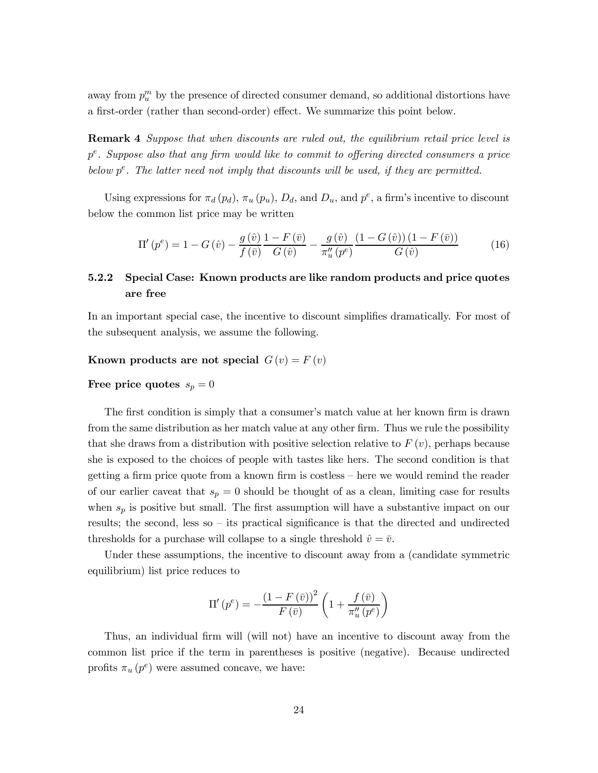away from  $p_u^m$  by the presence of directed consumer demand, so additional distortions have a first-order (rather than second-order) effect. We summarize this point below.

**Remark 4** Suppose that when discounts are ruled out, the equilibrium retail price level is  $p^e$ . Suppose also that any firm would like to commit to offering directed consumers a price below  $p^e$ . The latter need not imply that discounts will be used, if they are permitted.

Using expressions for  $\pi_d(p_d)$ ,  $\pi_u(p_u)$ ,  $D_d$ , and  $D_u$ , and  $p^e$ , a firm's incentive to discount below the common list price may be written

$$
\Pi'(p^e) = 1 - G(\hat{v}) - \frac{g(\hat{v})}{f(\bar{v})} \frac{1 - F(\bar{v})}{G(\hat{v})} - \frac{g(\hat{v})}{\pi_u''(p^e)} \frac{(1 - G(\hat{v})) (1 - F(\bar{v}))}{G(\hat{v})}
$$
(16)

### 5.2.2 Special Case: Known products are like random products and price quotes are free

In an important special case, the incentive to discount simplifies dramatically. For most of the subsequent analysis, we assume the following.

# Known products are not special  $G(v) = F(v)$

# Free price quotes  $s_p = 0$

The first condition is simply that a consumer's match value at her known firm is drawn from the same distribution as her match value at any other firm. Thus we rule the possibility that she draws from a distribution with positive selection relative to  $F(v)$ , perhaps because she is exposed to the choices of people with tastes like hers. The second condition is that getting a firm price quote from a known firm is costless – here we would remind the reader of our earlier caveat that  $s_p = 0$  should be thought of as a clean, limiting case for results when  $s_p$  is positive but small. The first assumption will have a substantive impact on our results; the second, less so  $-$  its practical significance is that the directed and undirected thresholds for a purchase will collapse to a single threshold  $\hat{v} = \bar{v}$ .

Under these assumptions, the incentive to discount away from a (candidate symmetric equilibrium) list price reduces to

$$
\Pi'\left(p^e\right) = -\frac{\left(1 - F\left(\bar{v}\right)\right)^2}{F\left(\bar{v}\right)} \left(1 + \frac{f\left(\bar{v}\right)}{\pi_u''\left(p^e\right)}\right)
$$

Thus, an individual firm will (will not) have an incentive to discount away from the common list price if the term in parentheses is positive (negative). Because undirected profits  $\pi_u(p^e)$  were assumed concave, we have: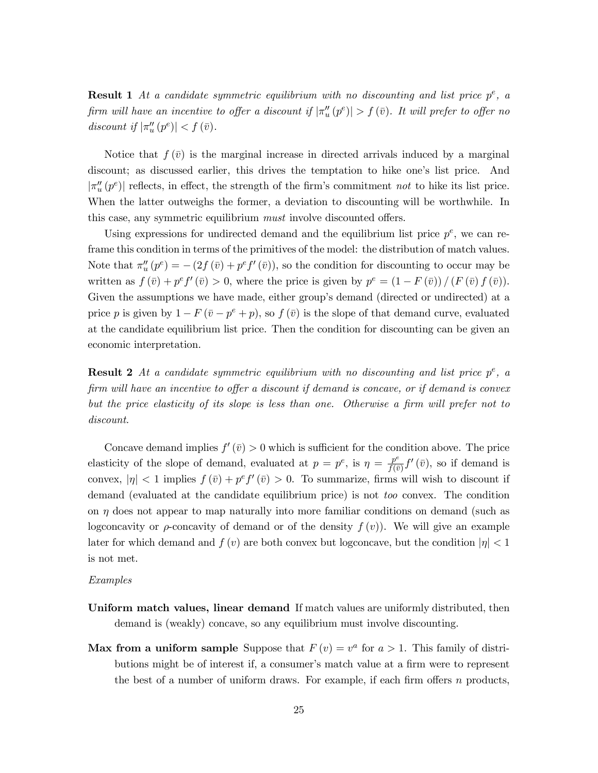**Result 1** At a candidate symmetric equilibrium with no discounting and list price  $p^e$ , a firm will have an incentive to offer a discount if  $|\pi_u''(p^e)| > f(\bar{v})$ . It will prefer to offer no discount if  $|\pi_u''(p^e)| < f(\bar{v})$ .

Notice that  $f(\bar{v})$  is the marginal increase in directed arrivals induced by a marginal discount; as discussed earlier, this drives the temptation to hike one's list price. And  $|\pi_u''(p^e)|$  reflects, in effect, the strength of the firm's commitment not to hike its list price. When the latter outweighs the former, a deviation to discounting will be worthwhile. In this case, any symmetric equilibrium *must* involve discounted offers.

Using expressions for undirected demand and the equilibrium list price  $p^e$ , we can reframe this condition in terms of the primitives of the model: the distribution of match values. Note that  $\pi''_u(p^e) = -(2f(\bar{v}) + p^e f'(\bar{v}))$ , so the condition for discounting to occur may be written as  $f(\bar{v}) + p^e f'(\bar{v}) > 0$ , where the price is given by  $p^e = (1 - F(\bar{v})) / (F(\bar{v}) f(\bar{v}))$ . Given the assumptions we have made, either group's demand (directed or undirected) at a price p is given by  $1 - F(\bar{v} - p^e + p)$ , so  $f(\bar{v})$  is the slope of that demand curve, evaluated at the candidate equilibrium list price. Then the condition for discounting can be given an economic interpretation.

**Result 2** At a candidate symmetric equilibrium with no discounting and list price  $p^e$ , a firm will have an incentive to offer a discount if demand is concave, or if demand is convex but the price elasticity of its slope is less than one. Otherwise a firm will prefer not to discount.

Concave demand implies  $f'(\bar{v}) > 0$  which is sufficient for the condition above. The price elasticity of the slope of demand, evaluated at  $p = p^e$ , is  $\eta = \frac{p^e}{f(\bar{v})} f'(\bar{v})$ , so if demand is convex,  $|\eta| < 1$  implies  $f(\bar{v}) + p^e f'(\bar{v}) > 0$ . To summarize, firms will wish to discount if demand (evaluated at the candidate equilibrium price) is not *too* convex. The condition on  $\eta$  does not appear to map naturally into more familiar conditions on demand (such as logconcavity or  $\rho$ -concavity of demand or of the density  $f(v)$ . We will give an example later for which demand and  $f(v)$  are both convex but logconcave, but the condition  $|\eta| < 1$ is not met.

### Examples

- Uniform match values, linear demand If match values are uniformly distributed, then demand is (weakly) concave, so any equilibrium must involve discounting.
- Max from a uniform sample Suppose that  $F(v) = v^a$  for  $a > 1$ . This family of distributions might be of interest if, a consumer's match value at a firm were to represent the best of a number of uniform draws. For example, if each firm offers  $n$  products,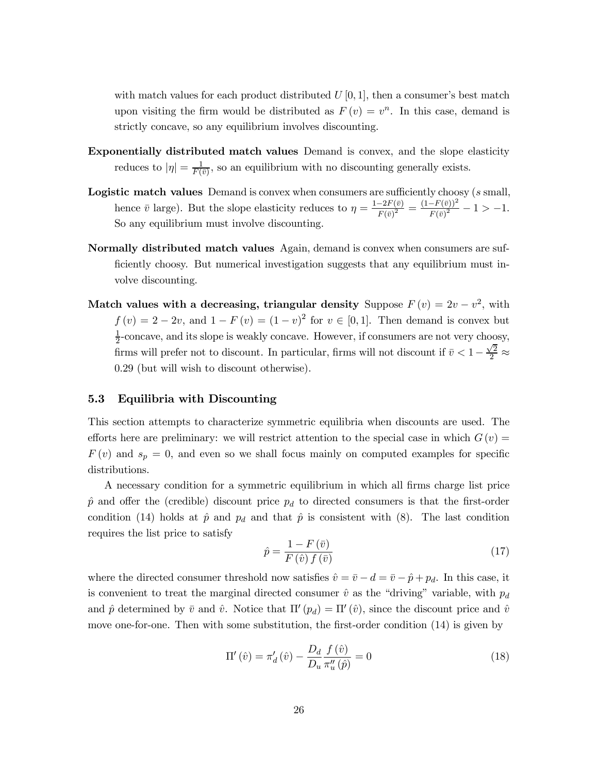with match values for each product distributed  $U[0,1]$ , then a consumer's best match upon visiting the firm would be distributed as  $F(v) = v^n$ . In this case, demand is strictly concave, so any equilibrium involves discounting.

- **Exponentially distributed match values** Demand is convex, and the slope elasticity reduces to  $|\eta| = \frac{1}{F(\bar{v})}$ , so an equilibrium with no discounting generally exists.
- **Logistic match values** Demand is convex when consumers are sufficiently choosy (s small, hence  $\bar{v}$  large). But the slope elasticity reduces to  $\eta = \frac{1-2F(\bar{v})}{F(\bar{v})^2} = \frac{(1-F(\bar{v}))^2}{F(\bar{v})^2} - 1 > -1$ . So any equilibrium must involve discounting.
- **Normally distributed match values** Again, demand is convex when consumers are sufficiently choosy. But numerical investigation suggests that any equilibrium must involve discounting.
- Match values with a decreasing, triangular density Suppose  $F(v) = 2v v^2$ , with  $f(v) = 2 - 2v$ , and  $1 - F(v) = (1 - v)^2$  for  $v \in [0, 1]$ . Then demand is convex but  $\frac{1}{2}$ -concave, and its slope is weakly concave. However, if consumers are not very choosy, firms will prefer not to discount. In particular, firms will not discount if  $\bar{v} < 1 - \frac{\sqrt{2}}{2} \approx$ 0.29 (but will wish to discount otherwise).

#### 5.3 Equilibria with Discounting

This section attempts to characterize symmetric equilibria when discounts are used. The efforts here are preliminary: we will restrict attention to the special case in which  $G(v)$  $F(v)$  and  $s_p = 0$ , and even so we shall focus mainly on computed examples for specific distributions.

A necessary condition for a symmetric equilibrium in which all firms charge list price  $\hat{p}$  and offer the (credible) discount price  $p_d$  to directed consumers is that the first-order condition (14) holds at  $\hat{p}$  and  $p_d$  and that  $\hat{p}$  is consistent with (8). The last condition requires the list price to satisfy

$$
\hat{p} = \frac{1 - F\left(\bar{v}\right)}{F\left(\hat{v}\right)f\left(\bar{v}\right)}\tag{17}
$$

where the directed consumer threshold now satisfies  $\hat{v} = \bar{v} - d = \bar{v} - \hat{p} + p_d$ . In this case, it is convenient to treat the marginal directed consumer  $\hat{v}$  as the "driving" variable, with  $p_d$ and  $\hat{p}$  determined by  $\bar{v}$  and  $\hat{v}$ . Notice that  $\Pi'(p_d) = \Pi'(\hat{v})$ , since the discount price and  $\hat{v}$ move one-for-one. Then with some substitution, the first-order condition (14) is given by

$$
\Pi'(\hat{v}) = \pi'_d(\hat{v}) - \frac{D_d}{D_u} \frac{f(\hat{v})}{\pi''_u(\hat{p})} = 0
$$
\n(18)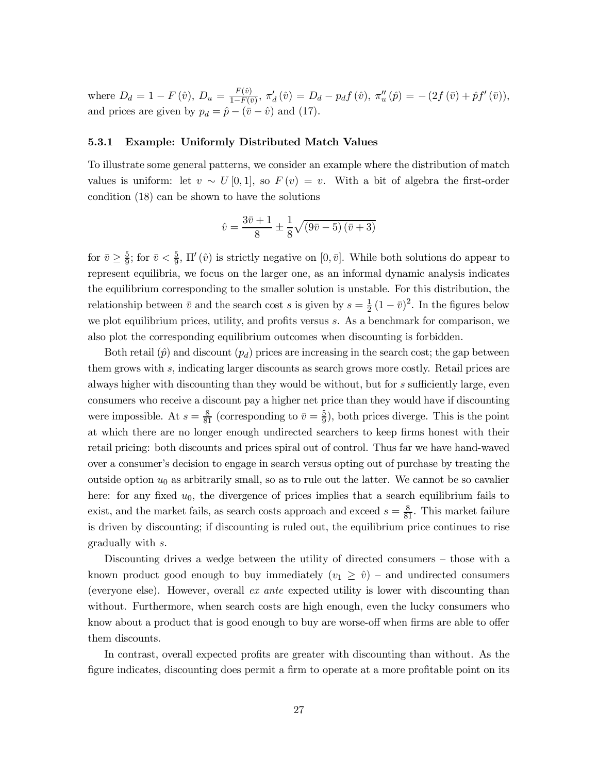where  $D_d = 1 - F(\hat{v}), D_u = \frac{F(\hat{v})}{1 - F(\bar{v})}, \pi'_d(\hat{v}) = D_d - p_d f(\hat{v}), \pi''_u(\hat{p}) = -(2f(\bar{v}) + \hat{p}f'(\bar{v})),$ and prices are given by  $p_d = \hat{p} - (\bar{v} - \hat{v})$  and (17).

#### $5.3.1$ **Example: Uniformly Distributed Match Values**

To illustrate some general patterns, we consider an example where the distribution of match values is uniform: let  $v \sim U[0,1]$ , so  $F(v) = v$ . With a bit of algebra the first-order condition (18) can be shown to have the solutions

$$
\hat{v} = \frac{3\bar{v} + 1}{8} \pm \frac{1}{8}\sqrt{(9\bar{v} - 5)(\bar{v} + 3)}
$$

for  $\bar{v} \geq \frac{5}{9}$ ; for  $\bar{v} < \frac{5}{9}$ ,  $\Pi'(\hat{v})$  is strictly negative on  $[0, \bar{v}]$ . While both solutions do appear to represent equilibria, we focus on the larger one, as an informal dynamic analysis indicates the equilibrium corresponding to the smaller solution is unstable. For this distribution, the relationship between  $\bar{v}$  and the search cost s is given by  $s = \frac{1}{2}(1 - \bar{v})^2$ . In the figures below we plot equilibrium prices, utility, and profits versus s. As a benchmark for comparison, we also plot the corresponding equilibrium outcomes when discounting is forbidden.

Both retail  $(\hat{p})$  and discount  $(p_d)$  prices are increasing in the search cost; the gap between them grows with s, indicating larger discounts as search grows more costly. Retail prices are always higher with discounting than they would be without, but for s sufficiently large, even consumers who receive a discount pay a higher net price than they would have if discounting were impossible. At  $s = \frac{8}{81}$  (corresponding to  $\bar{v} = \frac{5}{9}$ ), both prices diverge. This is the point at which there are no longer enough undirected searchers to keep firms honest with their retail pricing: both discounts and prices spiral out of control. Thus far we have hand-waved over a consumer's decision to engage in search versus opting out of purchase by treating the outside option  $u_0$  as arbitrarily small, so as to rule out the latter. We cannot be so cavalier here: for any fixed  $u_0$ , the divergence of prices implies that a search equilibrium fails to exist, and the market fails, as search costs approach and exceed  $s = \frac{8}{81}$ . This market failure is driven by discounting; if discounting is ruled out, the equilibrium price continues to rise gradually with s.

Discounting drives a wedge between the utility of directed consumers – those with a known product good enough to buy immediately  $(v_1 \ge \hat{v})$  – and undirected consumers (everyone else). However, overall ex ante expected utility is lower with discounting than without. Furthermore, when search costs are high enough, even the lucky consumers who know about a product that is good enough to buy are worse-off when firms are able to offer them discounts.

In contrast, overall expected profits are greater with discounting than without. As the figure indicates, discounting does permit a firm to operate at a more profitable point on its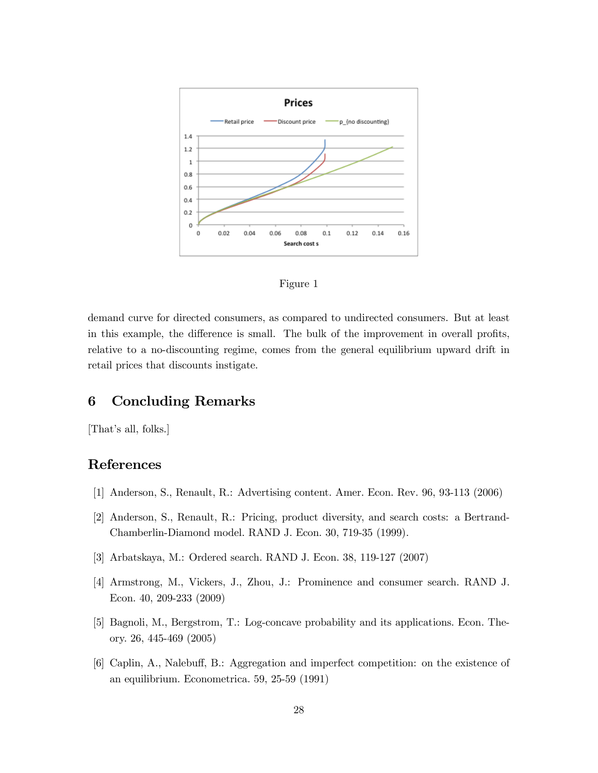



demand curve for directed consumers, as compared to undirected consumers. But at least in this example, the difference is small. The bulk of the improvement in overall profits, relative to a no-discounting regime, comes from the general equilibrium upward drift in retail prices that discounts instigate.

#### **Concluding Remarks** 6

[That's all, folks.]

# References

- [1] Anderson, S., Renault, R.: Advertising content. Amer. Econ. Rev. 96, 93-113 (2006)
- [2] Anderson, S., Renault, R.: Pricing, product diversity, and search costs: a Bertrand-Chamberlin-Diamond model. RAND J. Econ. 30, 719-35 (1999).
- [3] Arbatskaya, M.: Ordered search. RAND J. Econ. 38, 119-127 (2007)
- [4] Armstrong, M., Vickers, J., Zhou, J.: Prominence and consumer search. RAND J. Econ.  $40, 209-233$   $(2009)$
- [5] Bagnoli, M., Bergstrom, T.: Log-concave probability and its applications. Econ. Theory. 26, 445-469 (2005)
- [6] Caplin, A., Nalebuff, B.: Aggregation and imperfect competition: on the existence of an equilibrium. Econometrica. 59, 25-59 (1991)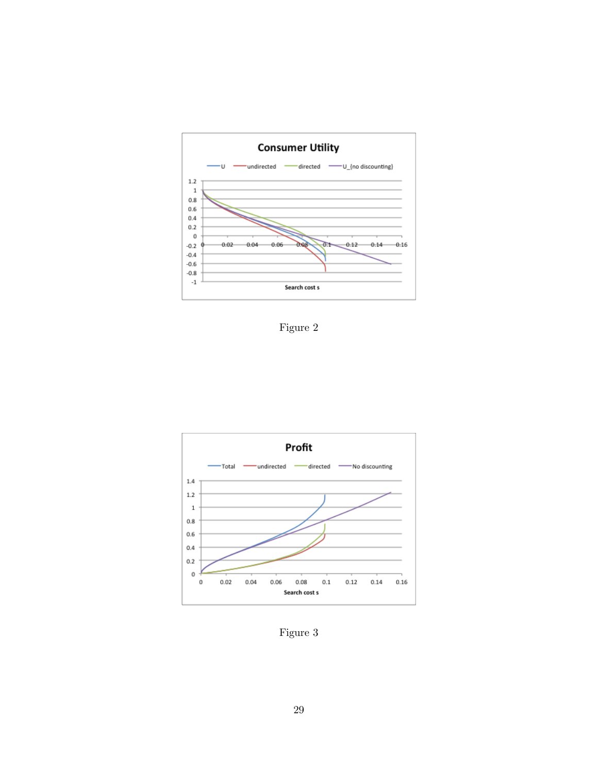

Figure



Figure 3